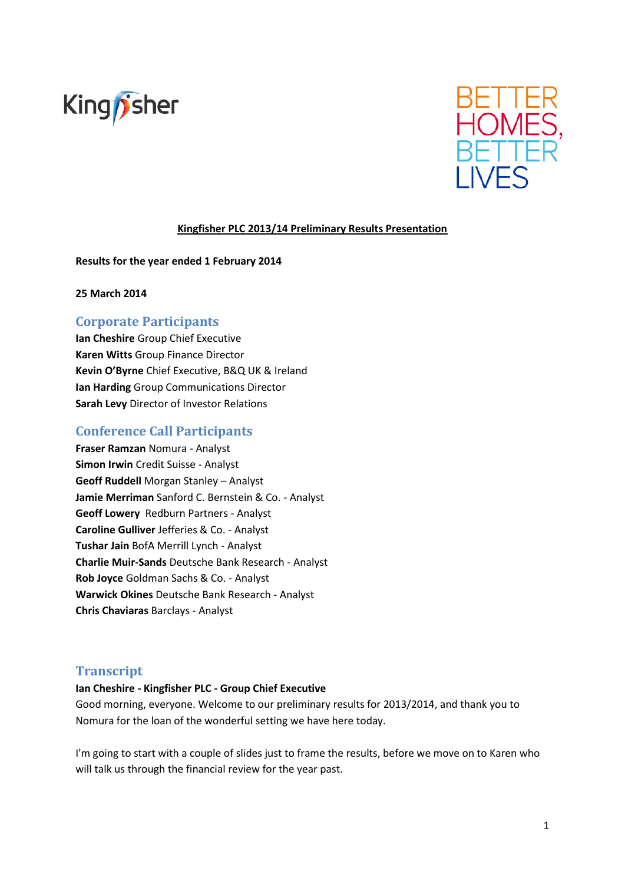



## **Kingfisher PLC 2013/14 Preliminary Results Presentation**

**Results for the year ended 1 February 2014**

**25 March 2014**

# **Corporate Participants**

**Ian Cheshire** Group Chief Executive **Karen Witts** Group Finance Director **Kevin O'Byrne** Chief Executive, B&Q UK & Ireland **Ian Harding** Group Communications Director **Sarah Levy** Director of Investor Relations

# **Conference Call Participants**

**Fraser Ramzan** Nomura - Analyst **Simon Irwin** Credit Suisse - Analyst **Geoff Ruddell** Morgan Stanley – Analyst **Jamie Merriman** Sanford C. Bernstein & Co. - Analyst **Geoff Lowery** Redburn Partners - Analyst **Caroline Gulliver** Jefferies & Co. - Analyst **Tushar Jain** BofA Merrill Lynch - Analyst **Charlie Muir-Sands** Deutsche Bank Research - Analyst **Rob Joyce** Goldman Sachs & Co. - Analyst **Warwick Okines** Deutsche Bank Research - Analyst **Chris Chaviaras** Barclays - Analyst

# **Transcript**

#### **Ian Cheshire - Kingfisher PLC - Group Chief Executive**

Good morning, everyone. Welcome to our preliminary results for 2013/2014, and thank you to Nomura for the loan of the wonderful setting we have here today.

I'm going to start with a couple of slides just to frame the results, before we move on to Karen who will talk us through the financial review for the year past.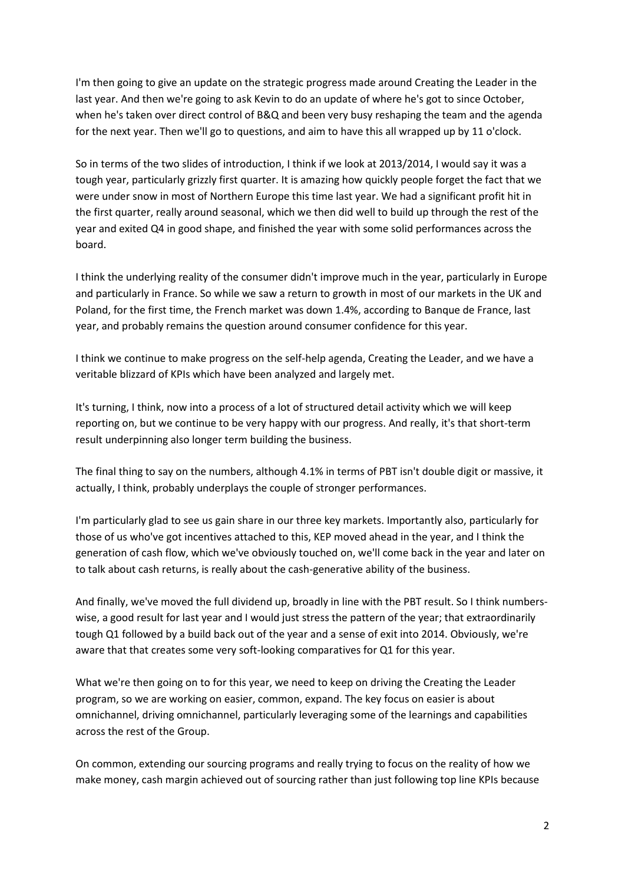I'm then going to give an update on the strategic progress made around Creating the Leader in the last year. And then we're going to ask Kevin to do an update of where he's got to since October, when he's taken over direct control of B&Q and been very busy reshaping the team and the agenda for the next year. Then we'll go to questions, and aim to have this all wrapped up by 11 o'clock.

So in terms of the two slides of introduction, I think if we look at 2013/2014, I would say it was a tough year, particularly grizzly first quarter. It is amazing how quickly people forget the fact that we were under snow in most of Northern Europe this time last year. We had a significant profit hit in the first quarter, really around seasonal, which we then did well to build up through the rest of the year and exited Q4 in good shape, and finished the year with some solid performances across the board.

I think the underlying reality of the consumer didn't improve much in the year, particularly in Europe and particularly in France. So while we saw a return to growth in most of our markets in the UK and Poland, for the first time, the French market was down 1.4%, according to Banque de France, last year, and probably remains the question around consumer confidence for this year.

I think we continue to make progress on the self-help agenda, Creating the Leader, and we have a veritable blizzard of KPIs which have been analyzed and largely met.

It's turning, I think, now into a process of a lot of structured detail activity which we will keep reporting on, but we continue to be very happy with our progress. And really, it's that short-term result underpinning also longer term building the business.

The final thing to say on the numbers, although 4.1% in terms of PBT isn't double digit or massive, it actually, I think, probably underplays the couple of stronger performances.

I'm particularly glad to see us gain share in our three key markets. Importantly also, particularly for those of us who've got incentives attached to this, KEP moved ahead in the year, and I think the generation of cash flow, which we've obviously touched on, we'll come back in the year and later on to talk about cash returns, is really about the cash-generative ability of the business.

And finally, we've moved the full dividend up, broadly in line with the PBT result. So I think numberswise, a good result for last year and I would just stress the pattern of the year; that extraordinarily tough Q1 followed by a build back out of the year and a sense of exit into 2014. Obviously, we're aware that that creates some very soft-looking comparatives for Q1 for this year.

What we're then going on to for this year, we need to keep on driving the Creating the Leader program, so we are working on easier, common, expand. The key focus on easier is about omnichannel, driving omnichannel, particularly leveraging some of the learnings and capabilities across the rest of the Group.

On common, extending our sourcing programs and really trying to focus on the reality of how we make money, cash margin achieved out of sourcing rather than just following top line KPIs because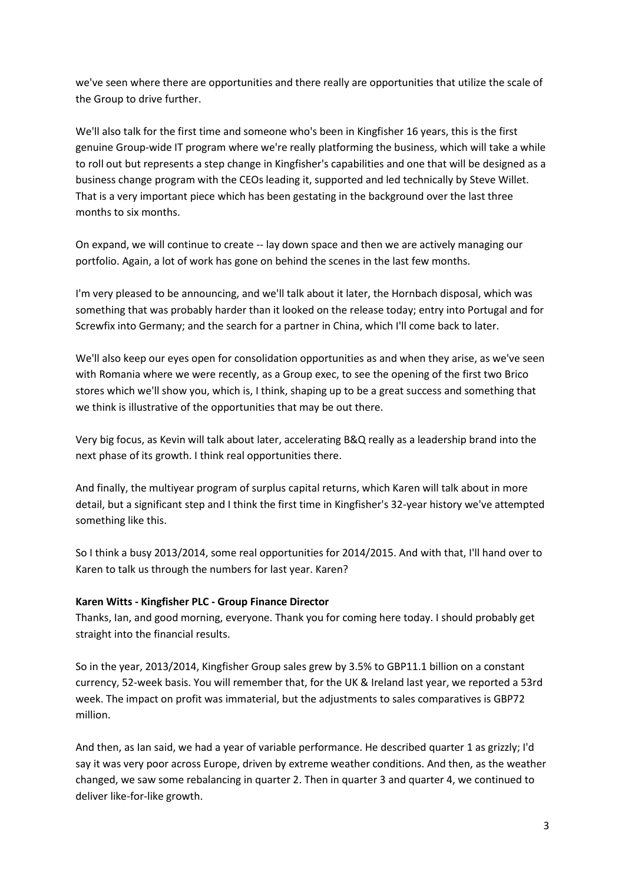we've seen where there are opportunities and there really are opportunities that utilize the scale of the Group to drive further.

We'll also talk for the first time and someone who's been in Kingfisher 16 years, this is the first genuine Group-wide IT program where we're really platforming the business, which will take a while to roll out but represents a step change in Kingfisher's capabilities and one that will be designed as a business change program with the CEOs leading it, supported and led technically by Steve Willet. That is a very important piece which has been gestating in the background over the last three months to six months.

On expand, we will continue to create -- lay down space and then we are actively managing our portfolio. Again, a lot of work has gone on behind the scenes in the last few months.

I'm very pleased to be announcing, and we'll talk about it later, the Hornbach disposal, which was something that was probably harder than it looked on the release today; entry into Portugal and for Screwfix into Germany; and the search for a partner in China, which I'll come back to later.

We'll also keep our eyes open for consolidation opportunities as and when they arise, as we've seen with Romania where we were recently, as a Group exec, to see the opening of the first two Brico stores which we'll show you, which is, I think, shaping up to be a great success and something that we think is illustrative of the opportunities that may be out there.

Very big focus, as Kevin will talk about later, accelerating B&Q really as a leadership brand into the next phase of its growth. I think real opportunities there.

And finally, the multiyear program of surplus capital returns, which Karen will talk about in more detail, but a significant step and I think the first time in Kingfisher's 32-year history we've attempted something like this.

So I think a busy 2013/2014, some real opportunities for 2014/2015. And with that, I'll hand over to Karen to talk us through the numbers for last year. Karen?

#### **Karen Witts - Kingfisher PLC - Group Finance Director**

Thanks, Ian, and good morning, everyone. Thank you for coming here today. I should probably get straight into the financial results.

So in the year, 2013/2014, Kingfisher Group sales grew by 3.5% to GBP11.1 billion on a constant currency, 52-week basis. You will remember that, for the UK & Ireland last year, we reported a 53rd week. The impact on profit was immaterial, but the adjustments to sales comparatives is GBP72 million.

And then, as Ian said, we had a year of variable performance. He described quarter 1 as grizzly; I'd say it was very poor across Europe, driven by extreme weather conditions. And then, as the weather changed, we saw some rebalancing in quarter 2. Then in quarter 3 and quarter 4, we continued to deliver like-for-like growth.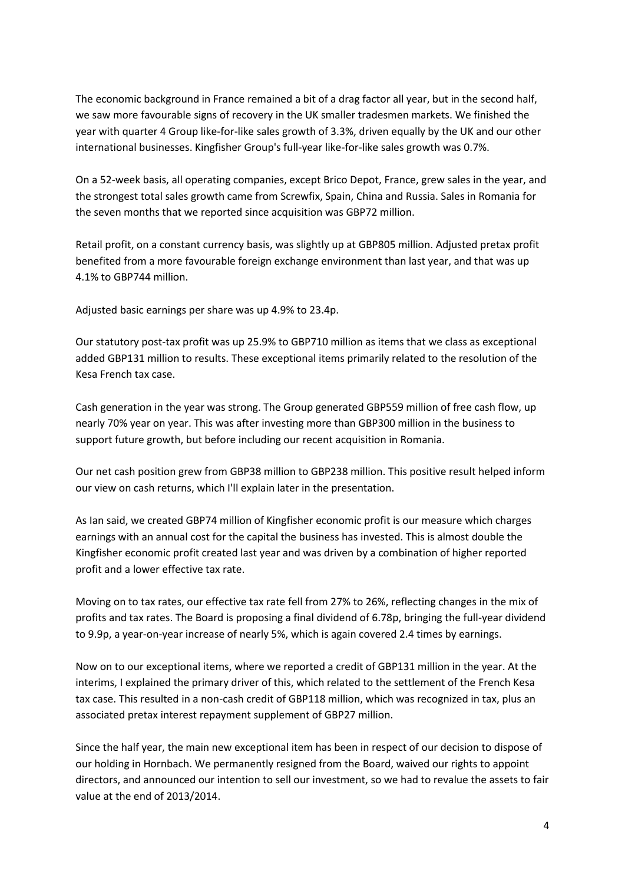The economic background in France remained a bit of a drag factor all year, but in the second half, we saw more favourable signs of recovery in the UK smaller tradesmen markets. We finished the year with quarter 4 Group like-for-like sales growth of 3.3%, driven equally by the UK and our other international businesses. Kingfisher Group's full-year like-for-like sales growth was 0.7%.

On a 52-week basis, all operating companies, except Brico Depot, France, grew sales in the year, and the strongest total sales growth came from Screwfix, Spain, China and Russia. Sales in Romania for the seven months that we reported since acquisition was GBP72 million.

Retail profit, on a constant currency basis, was slightly up at GBP805 million. Adjusted pretax profit benefited from a more favourable foreign exchange environment than last year, and that was up 4.1% to GBP744 million.

Adjusted basic earnings per share was up 4.9% to 23.4p.

Our statutory post-tax profit was up 25.9% to GBP710 million as items that we class as exceptional added GBP131 million to results. These exceptional items primarily related to the resolution of the Kesa French tax case.

Cash generation in the year was strong. The Group generated GBP559 million of free cash flow, up nearly 70% year on year. This was after investing more than GBP300 million in the business to support future growth, but before including our recent acquisition in Romania.

Our net cash position grew from GBP38 million to GBP238 million. This positive result helped inform our view on cash returns, which I'll explain later in the presentation.

As Ian said, we created GBP74 million of Kingfisher economic profit is our measure which charges earnings with an annual cost for the capital the business has invested. This is almost double the Kingfisher economic profit created last year and was driven by a combination of higher reported profit and a lower effective tax rate.

Moving on to tax rates, our effective tax rate fell from 27% to 26%, reflecting changes in the mix of profits and tax rates. The Board is proposing a final dividend of 6.78p, bringing the full-year dividend to 9.9p, a year-on-year increase of nearly 5%, which is again covered 2.4 times by earnings.

Now on to our exceptional items, where we reported a credit of GBP131 million in the year. At the interims, I explained the primary driver of this, which related to the settlement of the French Kesa tax case. This resulted in a non-cash credit of GBP118 million, which was recognized in tax, plus an associated pretax interest repayment supplement of GBP27 million.

Since the half year, the main new exceptional item has been in respect of our decision to dispose of our holding in Hornbach. We permanently resigned from the Board, waived our rights to appoint directors, and announced our intention to sell our investment, so we had to revalue the assets to fair value at the end of 2013/2014.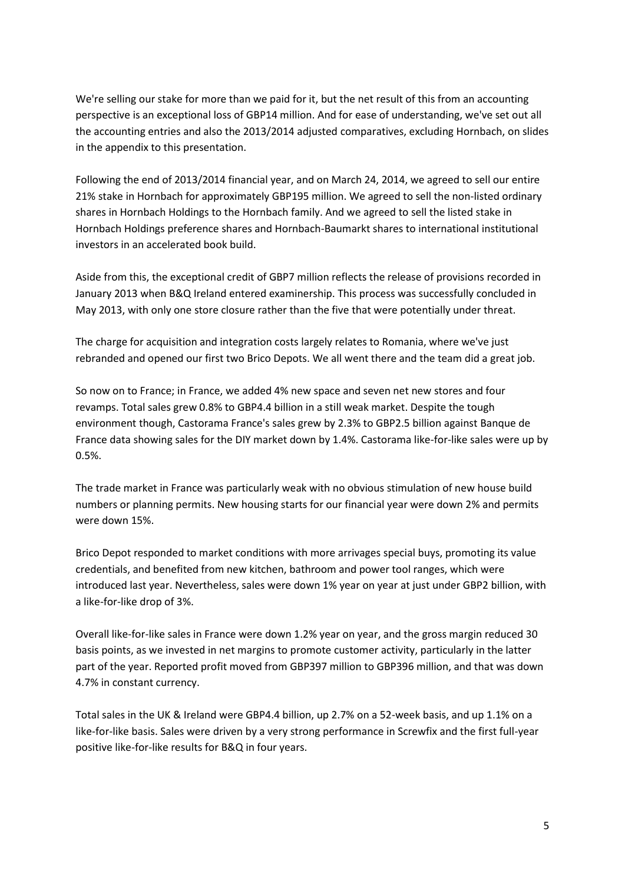We're selling our stake for more than we paid for it, but the net result of this from an accounting perspective is an exceptional loss of GBP14 million. And for ease of understanding, we've set out all the accounting entries and also the 2013/2014 adjusted comparatives, excluding Hornbach, on slides in the appendix to this presentation.

Following the end of 2013/2014 financial year, and on March 24, 2014, we agreed to sell our entire 21% stake in Hornbach for approximately GBP195 million. We agreed to sell the non-listed ordinary shares in Hornbach Holdings to the Hornbach family. And we agreed to sell the listed stake in Hornbach Holdings preference shares and Hornbach-Baumarkt shares to international institutional investors in an accelerated book build.

Aside from this, the exceptional credit of GBP7 million reflects the release of provisions recorded in January 2013 when B&Q Ireland entered examinership. This process was successfully concluded in May 2013, with only one store closure rather than the five that were potentially under threat.

The charge for acquisition and integration costs largely relates to Romania, where we've just rebranded and opened our first two Brico Depots. We all went there and the team did a great job.

So now on to France; in France, we added 4% new space and seven net new stores and four revamps. Total sales grew 0.8% to GBP4.4 billion in a still weak market. Despite the tough environment though, Castorama France's sales grew by 2.3% to GBP2.5 billion against Banque de France data showing sales for the DIY market down by 1.4%. Castorama like-for-like sales were up by 0.5%.

The trade market in France was particularly weak with no obvious stimulation of new house build numbers or planning permits. New housing starts for our financial year were down 2% and permits were down 15%.

Brico Depot responded to market conditions with more arrivages special buys, promoting its value credentials, and benefited from new kitchen, bathroom and power tool ranges, which were introduced last year. Nevertheless, sales were down 1% year on year at just under GBP2 billion, with a like-for-like drop of 3%.

Overall like-for-like sales in France were down 1.2% year on year, and the gross margin reduced 30 basis points, as we invested in net margins to promote customer activity, particularly in the latter part of the year. Reported profit moved from GBP397 million to GBP396 million, and that was down 4.7% in constant currency.

Total sales in the UK & Ireland were GBP4.4 billion, up 2.7% on a 52-week basis, and up 1.1% on a like-for-like basis. Sales were driven by a very strong performance in Screwfix and the first full-year positive like-for-like results for B&Q in four years.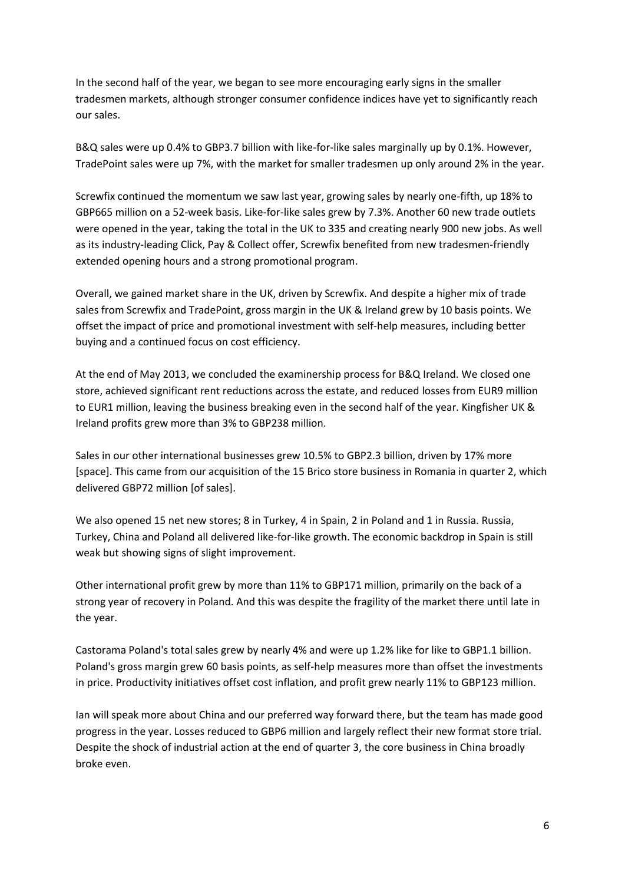In the second half of the year, we began to see more encouraging early signs in the smaller tradesmen markets, although stronger consumer confidence indices have yet to significantly reach our sales.

B&Q sales were up 0.4% to GBP3.7 billion with like-for-like sales marginally up by 0.1%. However, TradePoint sales were up 7%, with the market for smaller tradesmen up only around 2% in the year.

Screwfix continued the momentum we saw last year, growing sales by nearly one-fifth, up 18% to GBP665 million on a 52-week basis. Like-for-like sales grew by 7.3%. Another 60 new trade outlets were opened in the year, taking the total in the UK to 335 and creating nearly 900 new jobs. As well as its industry-leading Click, Pay & Collect offer, Screwfix benefited from new tradesmen-friendly extended opening hours and a strong promotional program.

Overall, we gained market share in the UK, driven by Screwfix. And despite a higher mix of trade sales from Screwfix and TradePoint, gross margin in the UK & Ireland grew by 10 basis points. We offset the impact of price and promotional investment with self-help measures, including better buying and a continued focus on cost efficiency.

At the end of May 2013, we concluded the examinership process for B&Q Ireland. We closed one store, achieved significant rent reductions across the estate, and reduced losses from EUR9 million to EUR1 million, leaving the business breaking even in the second half of the year. Kingfisher UK & Ireland profits grew more than 3% to GBP238 million.

Sales in our other international businesses grew 10.5% to GBP2.3 billion, driven by 17% more [space]. This came from our acquisition of the 15 Brico store business in Romania in quarter 2, which delivered GBP72 million [of sales].

We also opened 15 net new stores; 8 in Turkey, 4 in Spain, 2 in Poland and 1 in Russia. Russia, Turkey, China and Poland all delivered like-for-like growth. The economic backdrop in Spain is still weak but showing signs of slight improvement.

Other international profit grew by more than 11% to GBP171 million, primarily on the back of a strong year of recovery in Poland. And this was despite the fragility of the market there until late in the year.

Castorama Poland's total sales grew by nearly 4% and were up 1.2% like for like to GBP1.1 billion. Poland's gross margin grew 60 basis points, as self-help measures more than offset the investments in price. Productivity initiatives offset cost inflation, and profit grew nearly 11% to GBP123 million.

Ian will speak more about China and our preferred way forward there, but the team has made good progress in the year. Losses reduced to GBP6 million and largely reflect their new format store trial. Despite the shock of industrial action at the end of quarter 3, the core business in China broadly broke even.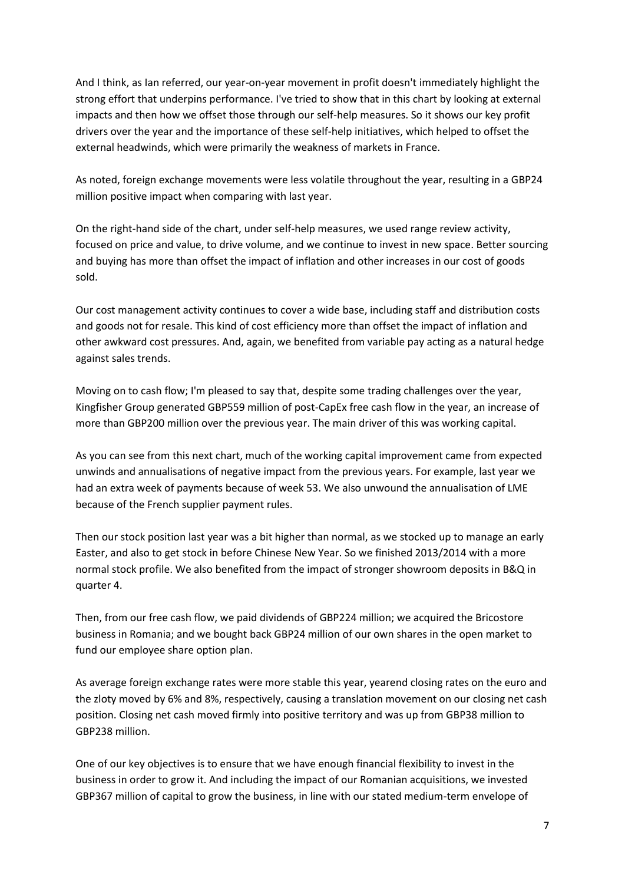And I think, as Ian referred, our year-on-year movement in profit doesn't immediately highlight the strong effort that underpins performance. I've tried to show that in this chart by looking at external impacts and then how we offset those through our self-help measures. So it shows our key profit drivers over the year and the importance of these self-help initiatives, which helped to offset the external headwinds, which were primarily the weakness of markets in France.

As noted, foreign exchange movements were less volatile throughout the year, resulting in a GBP24 million positive impact when comparing with last year.

On the right-hand side of the chart, under self-help measures, we used range review activity, focused on price and value, to drive volume, and we continue to invest in new space. Better sourcing and buying has more than offset the impact of inflation and other increases in our cost of goods sold.

Our cost management activity continues to cover a wide base, including staff and distribution costs and goods not for resale. This kind of cost efficiency more than offset the impact of inflation and other awkward cost pressures. And, again, we benefited from variable pay acting as a natural hedge against sales trends.

Moving on to cash flow; I'm pleased to say that, despite some trading challenges over the year, Kingfisher Group generated GBP559 million of post-CapEx free cash flow in the year, an increase of more than GBP200 million over the previous year. The main driver of this was working capital.

As you can see from this next chart, much of the working capital improvement came from expected unwinds and annualisations of negative impact from the previous years. For example, last year we had an extra week of payments because of week 53. We also unwound the annualisation of LME because of the French supplier payment rules.

Then our stock position last year was a bit higher than normal, as we stocked up to manage an early Easter, and also to get stock in before Chinese New Year. So we finished 2013/2014 with a more normal stock profile. We also benefited from the impact of stronger showroom deposits in B&Q in quarter 4.

Then, from our free cash flow, we paid dividends of GBP224 million; we acquired the Bricostore business in Romania; and we bought back GBP24 million of our own shares in the open market to fund our employee share option plan.

As average foreign exchange rates were more stable this year, yearend closing rates on the euro and the zloty moved by 6% and 8%, respectively, causing a translation movement on our closing net cash position. Closing net cash moved firmly into positive territory and was up from GBP38 million to GBP238 million.

One of our key objectives is to ensure that we have enough financial flexibility to invest in the business in order to grow it. And including the impact of our Romanian acquisitions, we invested GBP367 million of capital to grow the business, in line with our stated medium-term envelope of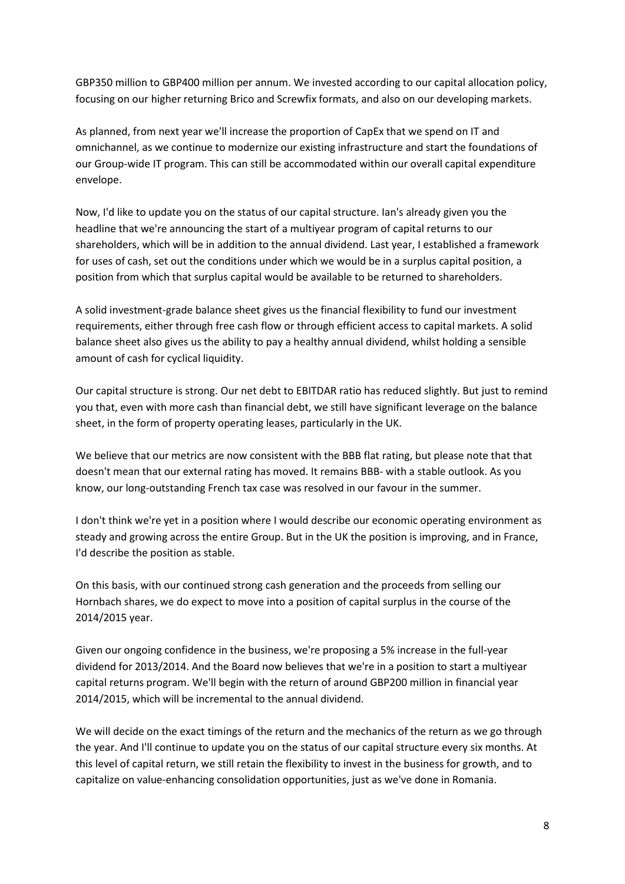GBP350 million to GBP400 million per annum. We invested according to our capital allocation policy, focusing on our higher returning Brico and Screwfix formats, and also on our developing markets.

As planned, from next year we'll increase the proportion of CapEx that we spend on IT and omnichannel, as we continue to modernize our existing infrastructure and start the foundations of our Group-wide IT program. This can still be accommodated within our overall capital expenditure envelope.

Now, I'd like to update you on the status of our capital structure. Ian's already given you the headline that we're announcing the start of a multiyear program of capital returns to our shareholders, which will be in addition to the annual dividend. Last year, I established a framework for uses of cash, set out the conditions under which we would be in a surplus capital position, a position from which that surplus capital would be available to be returned to shareholders.

A solid investment-grade balance sheet gives us the financial flexibility to fund our investment requirements, either through free cash flow or through efficient access to capital markets. A solid balance sheet also gives us the ability to pay a healthy annual dividend, whilst holding a sensible amount of cash for cyclical liquidity.

Our capital structure is strong. Our net debt to EBITDAR ratio has reduced slightly. But just to remind you that, even with more cash than financial debt, we still have significant leverage on the balance sheet, in the form of property operating leases, particularly in the UK.

We believe that our metrics are now consistent with the BBB flat rating, but please note that that doesn't mean that our external rating has moved. It remains BBB- with a stable outlook. As you know, our long-outstanding French tax case was resolved in our favour in the summer.

I don't think we're yet in a position where I would describe our economic operating environment as steady and growing across the entire Group. But in the UK the position is improving, and in France, I'd describe the position as stable.

On this basis, with our continued strong cash generation and the proceeds from selling our Hornbach shares, we do expect to move into a position of capital surplus in the course of the 2014/2015 year.

Given our ongoing confidence in the business, we're proposing a 5% increase in the full-year dividend for 2013/2014. And the Board now believes that we're in a position to start a multiyear capital returns program. We'll begin with the return of around GBP200 million in financial year 2014/2015, which will be incremental to the annual dividend.

We will decide on the exact timings of the return and the mechanics of the return as we go through the year. And I'll continue to update you on the status of our capital structure every six months. At this level of capital return, we still retain the flexibility to invest in the business for growth, and to capitalize on value-enhancing consolidation opportunities, just as we've done in Romania.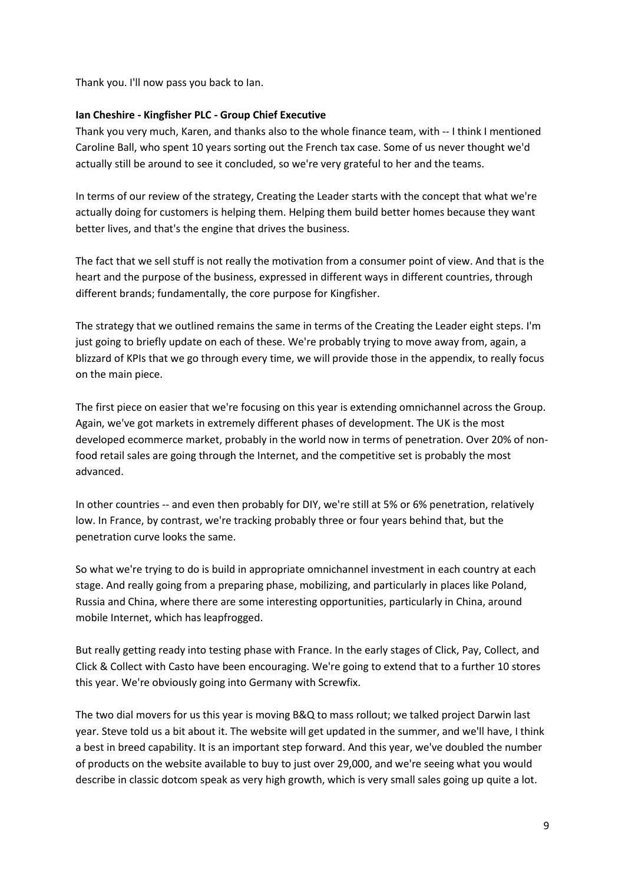Thank you. I'll now pass you back to Ian.

## **Ian Cheshire - Kingfisher PLC - Group Chief Executive**

Thank you very much, Karen, and thanks also to the whole finance team, with -- I think I mentioned Caroline Ball, who spent 10 years sorting out the French tax case. Some of us never thought we'd actually still be around to see it concluded, so we're very grateful to her and the teams.

In terms of our review of the strategy, Creating the Leader starts with the concept that what we're actually doing for customers is helping them. Helping them build better homes because they want better lives, and that's the engine that drives the business.

The fact that we sell stuff is not really the motivation from a consumer point of view. And that is the heart and the purpose of the business, expressed in different ways in different countries, through different brands; fundamentally, the core purpose for Kingfisher.

The strategy that we outlined remains the same in terms of the Creating the Leader eight steps. I'm just going to briefly update on each of these. We're probably trying to move away from, again, a blizzard of KPIs that we go through every time, we will provide those in the appendix, to really focus on the main piece.

The first piece on easier that we're focusing on this year is extending omnichannel across the Group. Again, we've got markets in extremely different phases of development. The UK is the most developed ecommerce market, probably in the world now in terms of penetration. Over 20% of nonfood retail sales are going through the Internet, and the competitive set is probably the most advanced.

In other countries -- and even then probably for DIY, we're still at 5% or 6% penetration, relatively low. In France, by contrast, we're tracking probably three or four years behind that, but the penetration curve looks the same.

So what we're trying to do is build in appropriate omnichannel investment in each country at each stage. And really going from a preparing phase, mobilizing, and particularly in places like Poland, Russia and China, where there are some interesting opportunities, particularly in China, around mobile Internet, which has leapfrogged.

But really getting ready into testing phase with France. In the early stages of Click, Pay, Collect, and Click & Collect with Casto have been encouraging. We're going to extend that to a further 10 stores this year. We're obviously going into Germany with Screwfix.

The two dial movers for us this year is moving B&Q to mass rollout; we talked project Darwin last year. Steve told us a bit about it. The website will get updated in the summer, and we'll have, I think a best in breed capability. It is an important step forward. And this year, we've doubled the number of products on the website available to buy to just over 29,000, and we're seeing what you would describe in classic dotcom speak as very high growth, which is very small sales going up quite a lot.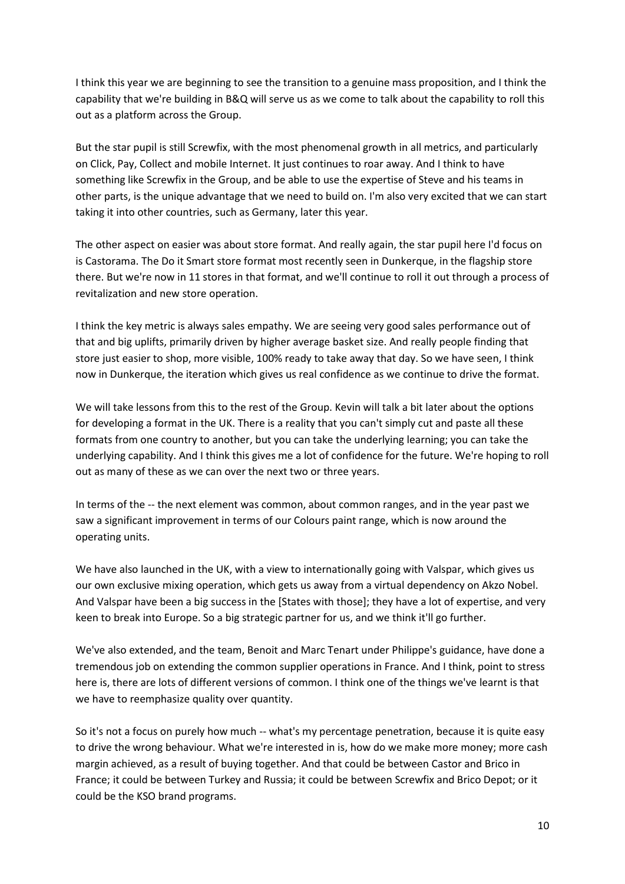I think this year we are beginning to see the transition to a genuine mass proposition, and I think the capability that we're building in B&Q will serve us as we come to talk about the capability to roll this out as a platform across the Group.

But the star pupil is still Screwfix, with the most phenomenal growth in all metrics, and particularly on Click, Pay, Collect and mobile Internet. It just continues to roar away. And I think to have something like Screwfix in the Group, and be able to use the expertise of Steve and his teams in other parts, is the unique advantage that we need to build on. I'm also very excited that we can start taking it into other countries, such as Germany, later this year.

The other aspect on easier was about store format. And really again, the star pupil here I'd focus on is Castorama. The Do it Smart store format most recently seen in Dunkerque, in the flagship store there. But we're now in 11 stores in that format, and we'll continue to roll it out through a process of revitalization and new store operation.

I think the key metric is always sales empathy. We are seeing very good sales performance out of that and big uplifts, primarily driven by higher average basket size. And really people finding that store just easier to shop, more visible, 100% ready to take away that day. So we have seen, I think now in Dunkerque, the iteration which gives us real confidence as we continue to drive the format.

We will take lessons from this to the rest of the Group. Kevin will talk a bit later about the options for developing a format in the UK. There is a reality that you can't simply cut and paste all these formats from one country to another, but you can take the underlying learning; you can take the underlying capability. And I think this gives me a lot of confidence for the future. We're hoping to roll out as many of these as we can over the next two or three years.

In terms of the -- the next element was common, about common ranges, and in the year past we saw a significant improvement in terms of our Colours paint range, which is now around the operating units.

We have also launched in the UK, with a view to internationally going with Valspar, which gives us our own exclusive mixing operation, which gets us away from a virtual dependency on Akzo Nobel. And Valspar have been a big success in the [States with those]; they have a lot of expertise, and very keen to break into Europe. So a big strategic partner for us, and we think it'll go further.

We've also extended, and the team, Benoit and Marc Tenart under Philippe's guidance, have done a tremendous job on extending the common supplier operations in France. And I think, point to stress here is, there are lots of different versions of common. I think one of the things we've learnt is that we have to reemphasize quality over quantity.

So it's not a focus on purely how much -- what's my percentage penetration, because it is quite easy to drive the wrong behaviour. What we're interested in is, how do we make more money; more cash margin achieved, as a result of buying together. And that could be between Castor and Brico in France; it could be between Turkey and Russia; it could be between Screwfix and Brico Depot; or it could be the KSO brand programs.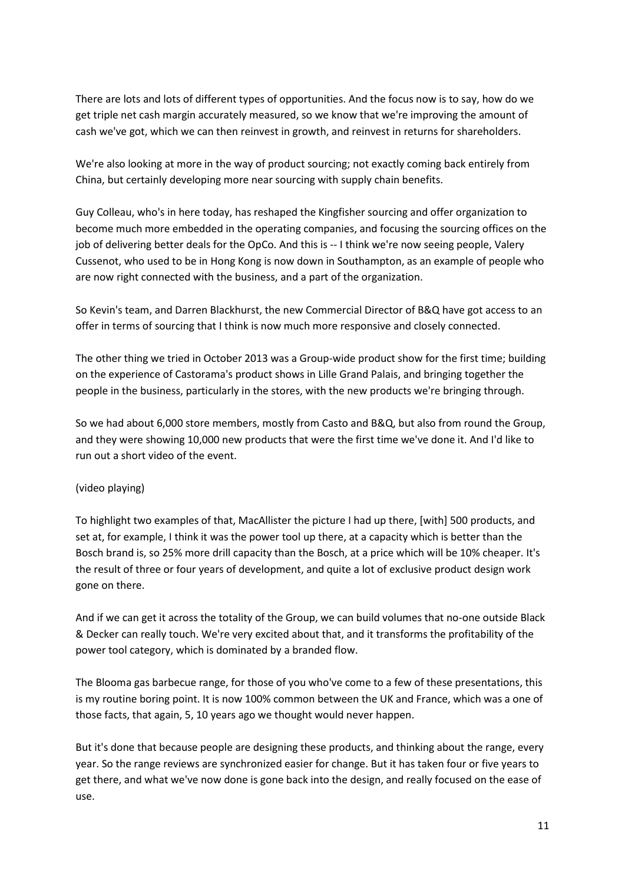There are lots and lots of different types of opportunities. And the focus now is to say, how do we get triple net cash margin accurately measured, so we know that we're improving the amount of cash we've got, which we can then reinvest in growth, and reinvest in returns for shareholders.

We're also looking at more in the way of product sourcing; not exactly coming back entirely from China, but certainly developing more near sourcing with supply chain benefits.

Guy Colleau, who's in here today, has reshaped the Kingfisher sourcing and offer organization to become much more embedded in the operating companies, and focusing the sourcing offices on the job of delivering better deals for the OpCo. And this is -- I think we're now seeing people, Valery Cussenot, who used to be in Hong Kong is now down in Southampton, as an example of people who are now right connected with the business, and a part of the organization.

So Kevin's team, and Darren Blackhurst, the new Commercial Director of B&Q have got access to an offer in terms of sourcing that I think is now much more responsive and closely connected.

The other thing we tried in October 2013 was a Group-wide product show for the first time; building on the experience of Castorama's product shows in Lille Grand Palais, and bringing together the people in the business, particularly in the stores, with the new products we're bringing through.

So we had about 6,000 store members, mostly from Casto and B&Q, but also from round the Group, and they were showing 10,000 new products that were the first time we've done it. And I'd like to run out a short video of the event.

# (video playing)

To highlight two examples of that, MacAllister the picture I had up there, [with] 500 products, and set at, for example, I think it was the power tool up there, at a capacity which is better than the Bosch brand is, so 25% more drill capacity than the Bosch, at a price which will be 10% cheaper. It's the result of three or four years of development, and quite a lot of exclusive product design work gone on there.

And if we can get it across the totality of the Group, we can build volumes that no-one outside Black & Decker can really touch. We're very excited about that, and it transforms the profitability of the power tool category, which is dominated by a branded flow.

The Blooma gas barbecue range, for those of you who've come to a few of these presentations, this is my routine boring point. It is now 100% common between the UK and France, which was a one of those facts, that again, 5, 10 years ago we thought would never happen.

But it's done that because people are designing these products, and thinking about the range, every year. So the range reviews are synchronized easier for change. But it has taken four or five years to get there, and what we've now done is gone back into the design, and really focused on the ease of use.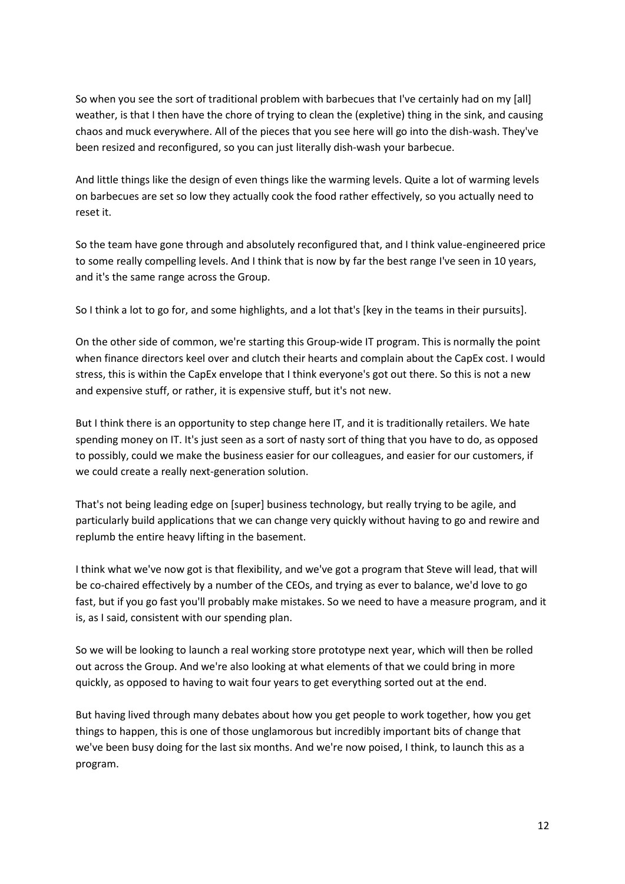So when you see the sort of traditional problem with barbecues that I've certainly had on my [all] weather, is that I then have the chore of trying to clean the (expletive) thing in the sink, and causing chaos and muck everywhere. All of the pieces that you see here will go into the dish-wash. They've been resized and reconfigured, so you can just literally dish-wash your barbecue.

And little things like the design of even things like the warming levels. Quite a lot of warming levels on barbecues are set so low they actually cook the food rather effectively, so you actually need to reset it.

So the team have gone through and absolutely reconfigured that, and I think value-engineered price to some really compelling levels. And I think that is now by far the best range I've seen in 10 years, and it's the same range across the Group.

So I think a lot to go for, and some highlights, and a lot that's [key in the teams in their pursuits].

On the other side of common, we're starting this Group-wide IT program. This is normally the point when finance directors keel over and clutch their hearts and complain about the CapEx cost. I would stress, this is within the CapEx envelope that I think everyone's got out there. So this is not a new and expensive stuff, or rather, it is expensive stuff, but it's not new.

But I think there is an opportunity to step change here IT, and it is traditionally retailers. We hate spending money on IT. It's just seen as a sort of nasty sort of thing that you have to do, as opposed to possibly, could we make the business easier for our colleagues, and easier for our customers, if we could create a really next-generation solution.

That's not being leading edge on [super] business technology, but really trying to be agile, and particularly build applications that we can change very quickly without having to go and rewire and replumb the entire heavy lifting in the basement.

I think what we've now got is that flexibility, and we've got a program that Steve will lead, that will be co-chaired effectively by a number of the CEOs, and trying as ever to balance, we'd love to go fast, but if you go fast you'll probably make mistakes. So we need to have a measure program, and it is, as I said, consistent with our spending plan.

So we will be looking to launch a real working store prototype next year, which will then be rolled out across the Group. And we're also looking at what elements of that we could bring in more quickly, as opposed to having to wait four years to get everything sorted out at the end.

But having lived through many debates about how you get people to work together, how you get things to happen, this is one of those unglamorous but incredibly important bits of change that we've been busy doing for the last six months. And we're now poised, I think, to launch this as a program.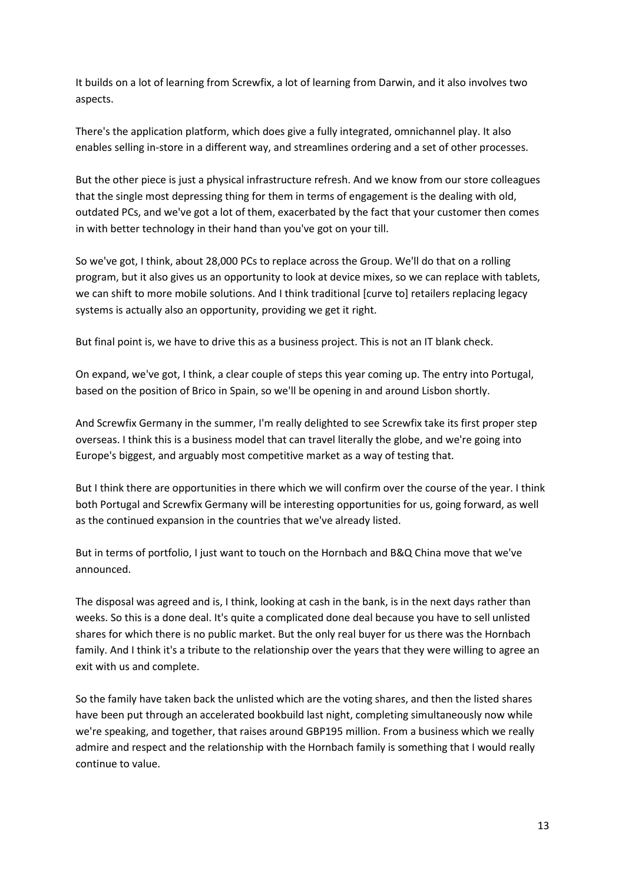It builds on a lot of learning from Screwfix, a lot of learning from Darwin, and it also involves two aspects.

There's the application platform, which does give a fully integrated, omnichannel play. It also enables selling in-store in a different way, and streamlines ordering and a set of other processes.

But the other piece is just a physical infrastructure refresh. And we know from our store colleagues that the single most depressing thing for them in terms of engagement is the dealing with old, outdated PCs, and we've got a lot of them, exacerbated by the fact that your customer then comes in with better technology in their hand than you've got on your till.

So we've got, I think, about 28,000 PCs to replace across the Group. We'll do that on a rolling program, but it also gives us an opportunity to look at device mixes, so we can replace with tablets, we can shift to more mobile solutions. And I think traditional [curve to] retailers replacing legacy systems is actually also an opportunity, providing we get it right.

But final point is, we have to drive this as a business project. This is not an IT blank check.

On expand, we've got, I think, a clear couple of steps this year coming up. The entry into Portugal, based on the position of Brico in Spain, so we'll be opening in and around Lisbon shortly.

And Screwfix Germany in the summer, I'm really delighted to see Screwfix take its first proper step overseas. I think this is a business model that can travel literally the globe, and we're going into Europe's biggest, and arguably most competitive market as a way of testing that.

But I think there are opportunities in there which we will confirm over the course of the year. I think both Portugal and Screwfix Germany will be interesting opportunities for us, going forward, as well as the continued expansion in the countries that we've already listed.

But in terms of portfolio, I just want to touch on the Hornbach and B&Q China move that we've announced.

The disposal was agreed and is, I think, looking at cash in the bank, is in the next days rather than weeks. So this is a done deal. It's quite a complicated done deal because you have to sell unlisted shares for which there is no public market. But the only real buyer for us there was the Hornbach family. And I think it's a tribute to the relationship over the years that they were willing to agree an exit with us and complete.

So the family have taken back the unlisted which are the voting shares, and then the listed shares have been put through an accelerated bookbuild last night, completing simultaneously now while we're speaking, and together, that raises around GBP195 million. From a business which we really admire and respect and the relationship with the Hornbach family is something that I would really continue to value.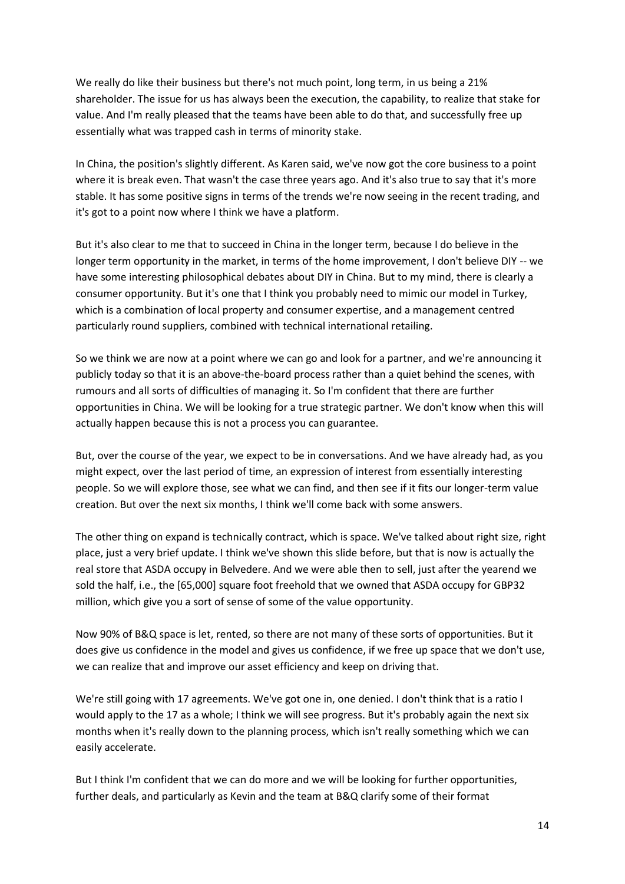We really do like their business but there's not much point, long term, in us being a 21% shareholder. The issue for us has always been the execution, the capability, to realize that stake for value. And I'm really pleased that the teams have been able to do that, and successfully free up essentially what was trapped cash in terms of minority stake.

In China, the position's slightly different. As Karen said, we've now got the core business to a point where it is break even. That wasn't the case three years ago. And it's also true to say that it's more stable. It has some positive signs in terms of the trends we're now seeing in the recent trading, and it's got to a point now where I think we have a platform.

But it's also clear to me that to succeed in China in the longer term, because I do believe in the longer term opportunity in the market, in terms of the home improvement, I don't believe DIY -- we have some interesting philosophical debates about DIY in China. But to my mind, there is clearly a consumer opportunity. But it's one that I think you probably need to mimic our model in Turkey, which is a combination of local property and consumer expertise, and a management centred particularly round suppliers, combined with technical international retailing.

So we think we are now at a point where we can go and look for a partner, and we're announcing it publicly today so that it is an above-the-board process rather than a quiet behind the scenes, with rumours and all sorts of difficulties of managing it. So I'm confident that there are further opportunities in China. We will be looking for a true strategic partner. We don't know when this will actually happen because this is not a process you can guarantee.

But, over the course of the year, we expect to be in conversations. And we have already had, as you might expect, over the last period of time, an expression of interest from essentially interesting people. So we will explore those, see what we can find, and then see if it fits our longer-term value creation. But over the next six months, I think we'll come back with some answers.

The other thing on expand is technically contract, which is space. We've talked about right size, right place, just a very brief update. I think we've shown this slide before, but that is now is actually the real store that ASDA occupy in Belvedere. And we were able then to sell, just after the yearend we sold the half, i.e., the [65,000] square foot freehold that we owned that ASDA occupy for GBP32 million, which give you a sort of sense of some of the value opportunity.

Now 90% of B&Q space is let, rented, so there are not many of these sorts of opportunities. But it does give us confidence in the model and gives us confidence, if we free up space that we don't use, we can realize that and improve our asset efficiency and keep on driving that.

We're still going with 17 agreements. We've got one in, one denied. I don't think that is a ratio I would apply to the 17 as a whole; I think we will see progress. But it's probably again the next six months when it's really down to the planning process, which isn't really something which we can easily accelerate.

But I think I'm confident that we can do more and we will be looking for further opportunities, further deals, and particularly as Kevin and the team at B&Q clarify some of their format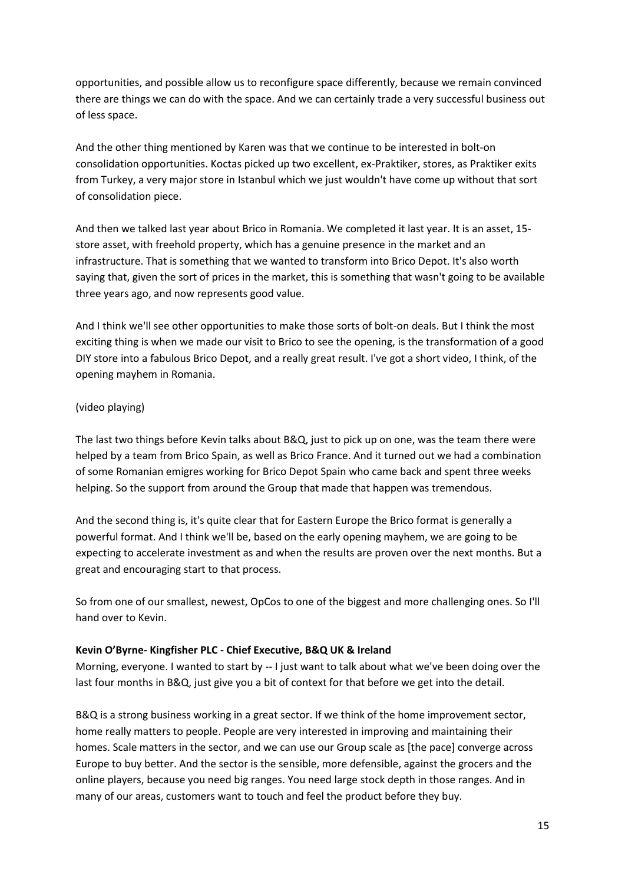opportunities, and possible allow us to reconfigure space differently, because we remain convinced there are things we can do with the space. And we can certainly trade a very successful business out of less space.

And the other thing mentioned by Karen was that we continue to be interested in bolt-on consolidation opportunities. Koctas picked up two excellent, ex-Praktiker, stores, as Praktiker exits from Turkey, a very major store in Istanbul which we just wouldn't have come up without that sort of consolidation piece.

And then we talked last year about Brico in Romania. We completed it last year. It is an asset, 15 store asset, with freehold property, which has a genuine presence in the market and an infrastructure. That is something that we wanted to transform into Brico Depot. It's also worth saying that, given the sort of prices in the market, this is something that wasn't going to be available three years ago, and now represents good value.

And I think we'll see other opportunities to make those sorts of bolt-on deals. But I think the most exciting thing is when we made our visit to Brico to see the opening, is the transformation of a good DIY store into a fabulous Brico Depot, and a really great result. I've got a short video, I think, of the opening mayhem in Romania.

# (video playing)

The last two things before Kevin talks about B&Q, just to pick up on one, was the team there were helped by a team from Brico Spain, as well as Brico France. And it turned out we had a combination of some Romanian emigres working for Brico Depot Spain who came back and spent three weeks helping. So the support from around the Group that made that happen was tremendous.

And the second thing is, it's quite clear that for Eastern Europe the Brico format is generally a powerful format. And I think we'll be, based on the early opening mayhem, we are going to be expecting to accelerate investment as and when the results are proven over the next months. But a great and encouraging start to that process.

So from one of our smallest, newest, OpCos to one of the biggest and more challenging ones. So I'll hand over to Kevin.

# **Kevin O'Byrne- Kingfisher PLC - Chief Executive, B&Q UK & Ireland**

Morning, everyone. I wanted to start by -- I just want to talk about what we've been doing over the last four months in B&Q, just give you a bit of context for that before we get into the detail.

B&Q is a strong business working in a great sector. If we think of the home improvement sector, home really matters to people. People are very interested in improving and maintaining their homes. Scale matters in the sector, and we can use our Group scale as [the pace] converge across Europe to buy better. And the sector is the sensible, more defensible, against the grocers and the online players, because you need big ranges. You need large stock depth in those ranges. And in many of our areas, customers want to touch and feel the product before they buy.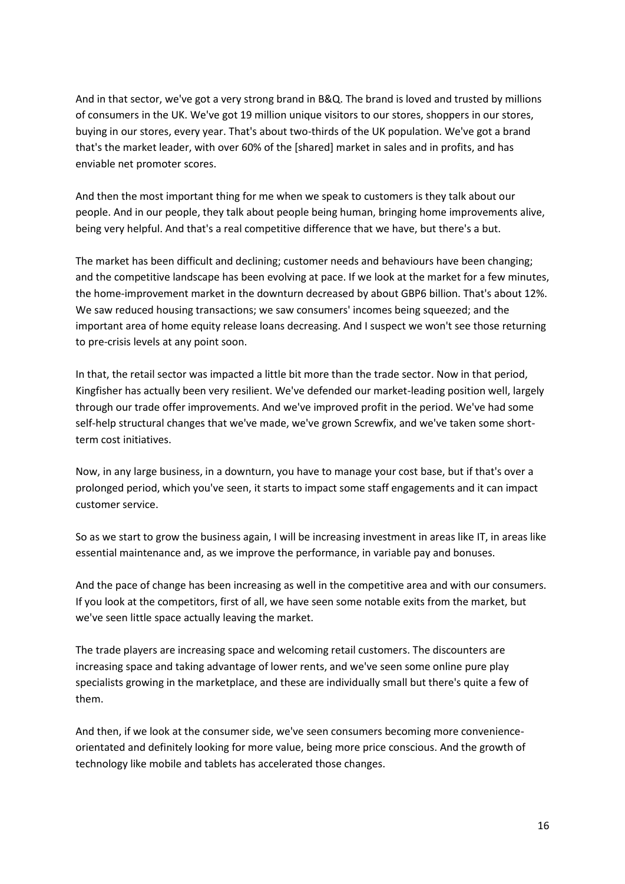And in that sector, we've got a very strong brand in B&Q. The brand is loved and trusted by millions of consumers in the UK. We've got 19 million unique visitors to our stores, shoppers in our stores, buying in our stores, every year. That's about two-thirds of the UK population. We've got a brand that's the market leader, with over 60% of the [shared] market in sales and in profits, and has enviable net promoter scores.

And then the most important thing for me when we speak to customers is they talk about our people. And in our people, they talk about people being human, bringing home improvements alive, being very helpful. And that's a real competitive difference that we have, but there's a but.

The market has been difficult and declining; customer needs and behaviours have been changing; and the competitive landscape has been evolving at pace. If we look at the market for a few minutes, the home-improvement market in the downturn decreased by about GBP6 billion. That's about 12%. We saw reduced housing transactions; we saw consumers' incomes being squeezed; and the important area of home equity release loans decreasing. And I suspect we won't see those returning to pre-crisis levels at any point soon.

In that, the retail sector was impacted a little bit more than the trade sector. Now in that period, Kingfisher has actually been very resilient. We've defended our market-leading position well, largely through our trade offer improvements. And we've improved profit in the period. We've had some self-help structural changes that we've made, we've grown Screwfix, and we've taken some shortterm cost initiatives.

Now, in any large business, in a downturn, you have to manage your cost base, but if that's over a prolonged period, which you've seen, it starts to impact some staff engagements and it can impact customer service.

So as we start to grow the business again, I will be increasing investment in areas like IT, in areas like essential maintenance and, as we improve the performance, in variable pay and bonuses.

And the pace of change has been increasing as well in the competitive area and with our consumers. If you look at the competitors, first of all, we have seen some notable exits from the market, but we've seen little space actually leaving the market.

The trade players are increasing space and welcoming retail customers. The discounters are increasing space and taking advantage of lower rents, and we've seen some online pure play specialists growing in the marketplace, and these are individually small but there's quite a few of them.

And then, if we look at the consumer side, we've seen consumers becoming more convenienceorientated and definitely looking for more value, being more price conscious. And the growth of technology like mobile and tablets has accelerated those changes.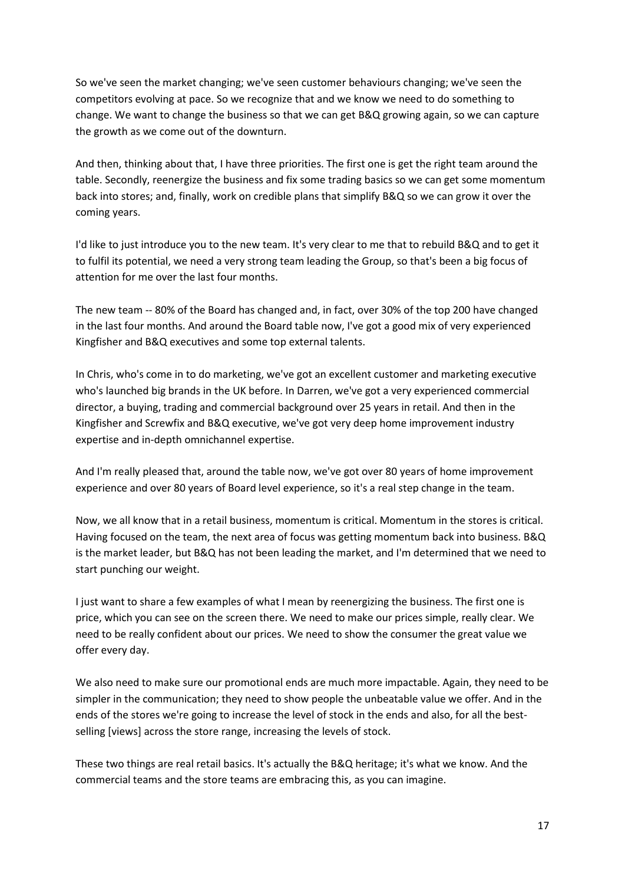So we've seen the market changing; we've seen customer behaviours changing; we've seen the competitors evolving at pace. So we recognize that and we know we need to do something to change. We want to change the business so that we can get B&Q growing again, so we can capture the growth as we come out of the downturn.

And then, thinking about that, I have three priorities. The first one is get the right team around the table. Secondly, reenergize the business and fix some trading basics so we can get some momentum back into stores; and, finally, work on credible plans that simplify B&Q so we can grow it over the coming years.

I'd like to just introduce you to the new team. It's very clear to me that to rebuild B&Q and to get it to fulfil its potential, we need a very strong team leading the Group, so that's been a big focus of attention for me over the last four months.

The new team -- 80% of the Board has changed and, in fact, over 30% of the top 200 have changed in the last four months. And around the Board table now, I've got a good mix of very experienced Kingfisher and B&Q executives and some top external talents.

In Chris, who's come in to do marketing, we've got an excellent customer and marketing executive who's launched big brands in the UK before. In Darren, we've got a very experienced commercial director, a buying, trading and commercial background over 25 years in retail. And then in the Kingfisher and Screwfix and B&Q executive, we've got very deep home improvement industry expertise and in-depth omnichannel expertise.

And I'm really pleased that, around the table now, we've got over 80 years of home improvement experience and over 80 years of Board level experience, so it's a real step change in the team.

Now, we all know that in a retail business, momentum is critical. Momentum in the stores is critical. Having focused on the team, the next area of focus was getting momentum back into business. B&Q is the market leader, but B&Q has not been leading the market, and I'm determined that we need to start punching our weight.

I just want to share a few examples of what I mean by reenergizing the business. The first one is price, which you can see on the screen there. We need to make our prices simple, really clear. We need to be really confident about our prices. We need to show the consumer the great value we offer every day.

We also need to make sure our promotional ends are much more impactable. Again, they need to be simpler in the communication; they need to show people the unbeatable value we offer. And in the ends of the stores we're going to increase the level of stock in the ends and also, for all the bestselling [views] across the store range, increasing the levels of stock.

These two things are real retail basics. It's actually the B&Q heritage; it's what we know. And the commercial teams and the store teams are embracing this, as you can imagine.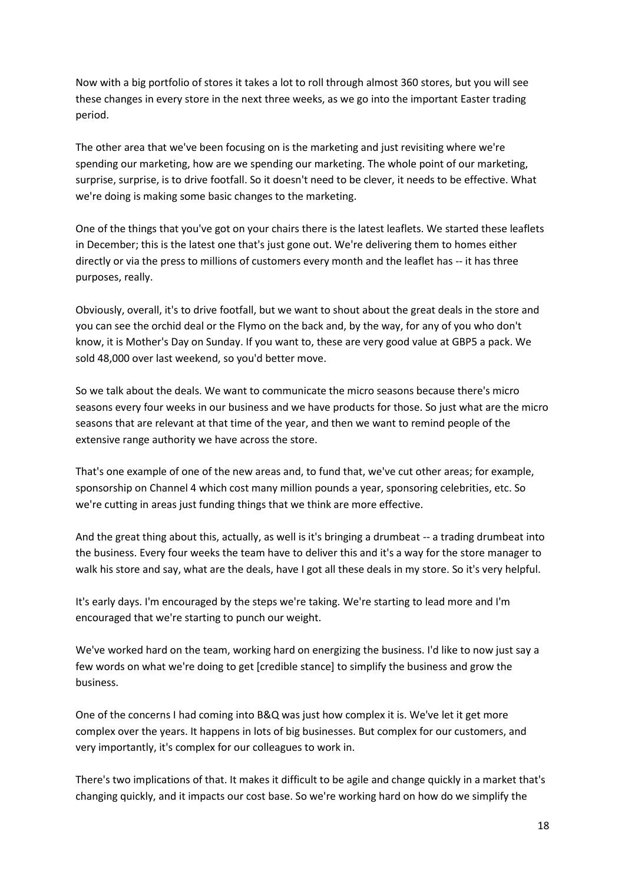Now with a big portfolio of stores it takes a lot to roll through almost 360 stores, but you will see these changes in every store in the next three weeks, as we go into the important Easter trading period.

The other area that we've been focusing on is the marketing and just revisiting where we're spending our marketing, how are we spending our marketing. The whole point of our marketing, surprise, surprise, is to drive footfall. So it doesn't need to be clever, it needs to be effective. What we're doing is making some basic changes to the marketing.

One of the things that you've got on your chairs there is the latest leaflets. We started these leaflets in December; this is the latest one that's just gone out. We're delivering them to homes either directly or via the press to millions of customers every month and the leaflet has -- it has three purposes, really.

Obviously, overall, it's to drive footfall, but we want to shout about the great deals in the store and you can see the orchid deal or the Flymo on the back and, by the way, for any of you who don't know, it is Mother's Day on Sunday. If you want to, these are very good value at GBP5 a pack. We sold 48,000 over last weekend, so you'd better move.

So we talk about the deals. We want to communicate the micro seasons because there's micro seasons every four weeks in our business and we have products for those. So just what are the micro seasons that are relevant at that time of the year, and then we want to remind people of the extensive range authority we have across the store.

That's one example of one of the new areas and, to fund that, we've cut other areas; for example, sponsorship on Channel 4 which cost many million pounds a year, sponsoring celebrities, etc. So we're cutting in areas just funding things that we think are more effective.

And the great thing about this, actually, as well is it's bringing a drumbeat -- a trading drumbeat into the business. Every four weeks the team have to deliver this and it's a way for the store manager to walk his store and say, what are the deals, have I got all these deals in my store. So it's very helpful.

It's early days. I'm encouraged by the steps we're taking. We're starting to lead more and I'm encouraged that we're starting to punch our weight.

We've worked hard on the team, working hard on energizing the business. I'd like to now just say a few words on what we're doing to get [credible stance] to simplify the business and grow the business.

One of the concerns I had coming into B&Q was just how complex it is. We've let it get more complex over the years. It happens in lots of big businesses. But complex for our customers, and very importantly, it's complex for our colleagues to work in.

There's two implications of that. It makes it difficult to be agile and change quickly in a market that's changing quickly, and it impacts our cost base. So we're working hard on how do we simplify the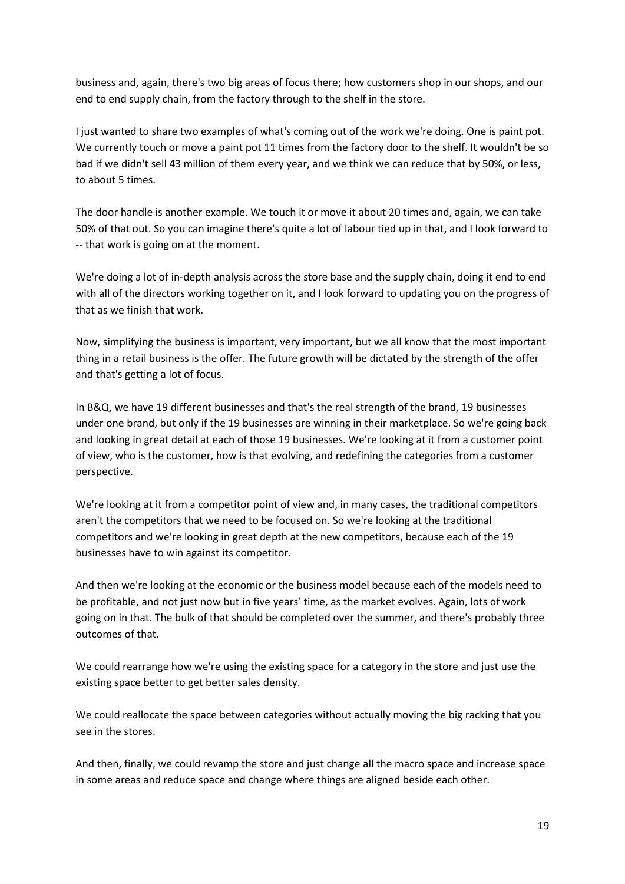business and, again, there's two big areas of focus there; how customers shop in our shops, and our end to end supply chain, from the factory through to the shelf in the store.

I just wanted to share two examples of what's coming out of the work we're doing. One is paint pot. We currently touch or move a paint pot 11 times from the factory door to the shelf. It wouldn't be so bad if we didn't sell 43 million of them every year, and we think we can reduce that by 50%, or less, to about 5 times.

The door handle is another example. We touch it or move it about 20 times and, again, we can take 50% of that out. So you can imagine there's quite a lot of labour tied up in that, and I look forward to -- that work is going on at the moment.

We're doing a lot of in-depth analysis across the store base and the supply chain, doing it end to end with all of the directors working together on it, and I look forward to updating you on the progress of that as we finish that work.

Now, simplifying the business is important, very important, but we all know that the most important thing in a retail business is the offer. The future growth will be dictated by the strength of the offer and that's getting a lot of focus.

In B&Q, we have 19 different businesses and that's the real strength of the brand, 19 businesses under one brand, but only if the 19 businesses are winning in their marketplace. So we're going back and looking in great detail at each of those 19 businesses. We're looking at it from a customer point of view, who is the customer, how is that evolving, and redefining the categories from a customer perspective.

We're looking at it from a competitor point of view and, in many cases, the traditional competitors aren't the competitors that we need to be focused on. So we're looking at the traditional competitors and we're looking in great depth at the new competitors, because each of the 19 businesses have to win against its competitor.

And then we're looking at the economic or the business model because each of the models need to be profitable, and not just now but in five years' time, as the market evolves. Again, lots of work going on in that. The bulk of that should be completed over the summer, and there's probably three outcomes of that.

We could rearrange how we're using the existing space for a category in the store and just use the existing space better to get better sales density.

We could reallocate the space between categories without actually moving the big racking that you see in the stores.

And then, finally, we could revamp the store and just change all the macro space and increase space in some areas and reduce space and change where things are aligned beside each other.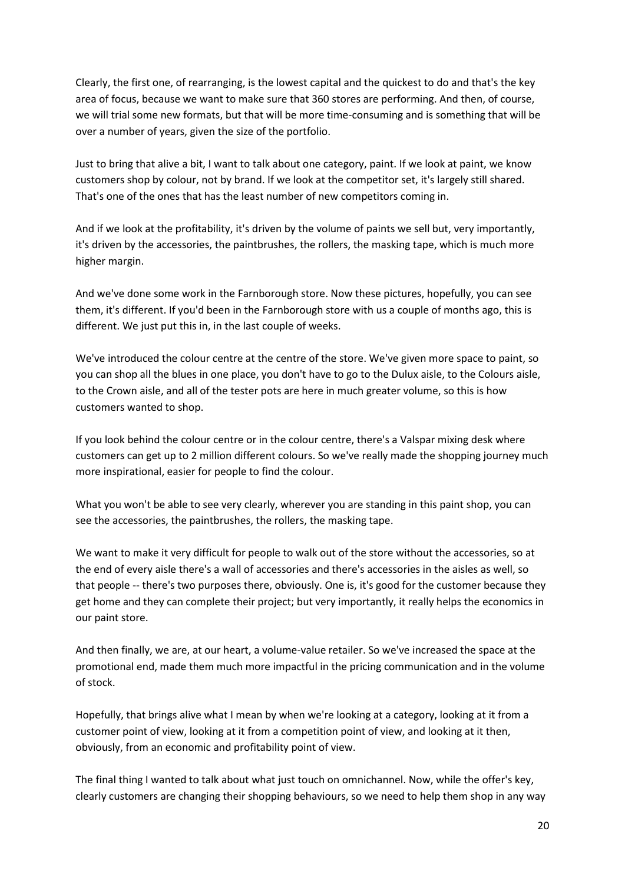Clearly, the first one, of rearranging, is the lowest capital and the quickest to do and that's the key area of focus, because we want to make sure that 360 stores are performing. And then, of course, we will trial some new formats, but that will be more time-consuming and is something that will be over a number of years, given the size of the portfolio.

Just to bring that alive a bit, I want to talk about one category, paint. If we look at paint, we know customers shop by colour, not by brand. If we look at the competitor set, it's largely still shared. That's one of the ones that has the least number of new competitors coming in.

And if we look at the profitability, it's driven by the volume of paints we sell but, very importantly, it's driven by the accessories, the paintbrushes, the rollers, the masking tape, which is much more higher margin.

And we've done some work in the Farnborough store. Now these pictures, hopefully, you can see them, it's different. If you'd been in the Farnborough store with us a couple of months ago, this is different. We just put this in, in the last couple of weeks.

We've introduced the colour centre at the centre of the store. We've given more space to paint, so you can shop all the blues in one place, you don't have to go to the Dulux aisle, to the Colours aisle, to the Crown aisle, and all of the tester pots are here in much greater volume, so this is how customers wanted to shop.

If you look behind the colour centre or in the colour centre, there's a Valspar mixing desk where customers can get up to 2 million different colours. So we've really made the shopping journey much more inspirational, easier for people to find the colour.

What you won't be able to see very clearly, wherever you are standing in this paint shop, you can see the accessories, the paintbrushes, the rollers, the masking tape.

We want to make it very difficult for people to walk out of the store without the accessories, so at the end of every aisle there's a wall of accessories and there's accessories in the aisles as well, so that people -- there's two purposes there, obviously. One is, it's good for the customer because they get home and they can complete their project; but very importantly, it really helps the economics in our paint store.

And then finally, we are, at our heart, a volume-value retailer. So we've increased the space at the promotional end, made them much more impactful in the pricing communication and in the volume of stock.

Hopefully, that brings alive what I mean by when we're looking at a category, looking at it from a customer point of view, looking at it from a competition point of view, and looking at it then, obviously, from an economic and profitability point of view.

The final thing I wanted to talk about what just touch on omnichannel. Now, while the offer's key, clearly customers are changing their shopping behaviours, so we need to help them shop in any way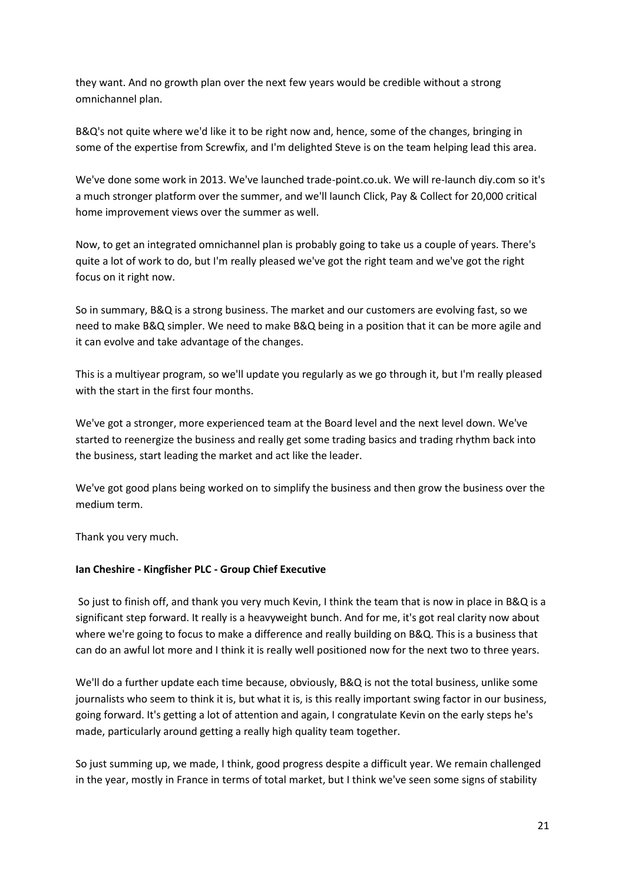they want. And no growth plan over the next few years would be credible without a strong omnichannel plan.

B&Q's not quite where we'd like it to be right now and, hence, some of the changes, bringing in some of the expertise from Screwfix, and I'm delighted Steve is on the team helping lead this area.

We've done some work in 2013. We've launched trade-point.co.uk. We will re-launch diy.com so it's a much stronger platform over the summer, and we'll launch Click, Pay & Collect for 20,000 critical home improvement views over the summer as well.

Now, to get an integrated omnichannel plan is probably going to take us a couple of years. There's quite a lot of work to do, but I'm really pleased we've got the right team and we've got the right focus on it right now.

So in summary, B&Q is a strong business. The market and our customers are evolving fast, so we need to make B&Q simpler. We need to make B&Q being in a position that it can be more agile and it can evolve and take advantage of the changes.

This is a multiyear program, so we'll update you regularly as we go through it, but I'm really pleased with the start in the first four months.

We've got a stronger, more experienced team at the Board level and the next level down. We've started to reenergize the business and really get some trading basics and trading rhythm back into the business, start leading the market and act like the leader.

We've got good plans being worked on to simplify the business and then grow the business over the medium term.

Thank you very much.

#### **Ian Cheshire - Kingfisher PLC - Group Chief Executive**

So just to finish off, and thank you very much Kevin, I think the team that is now in place in B&Q is a significant step forward. It really is a heavyweight bunch. And for me, it's got real clarity now about where we're going to focus to make a difference and really building on B&Q. This is a business that can do an awful lot more and I think it is really well positioned now for the next two to three years.

We'll do a further update each time because, obviously, B&Q is not the total business, unlike some journalists who seem to think it is, but what it is, is this really important swing factor in our business, going forward. It's getting a lot of attention and again, I congratulate Kevin on the early steps he's made, particularly around getting a really high quality team together.

So just summing up, we made, I think, good progress despite a difficult year. We remain challenged in the year, mostly in France in terms of total market, but I think we've seen some signs of stability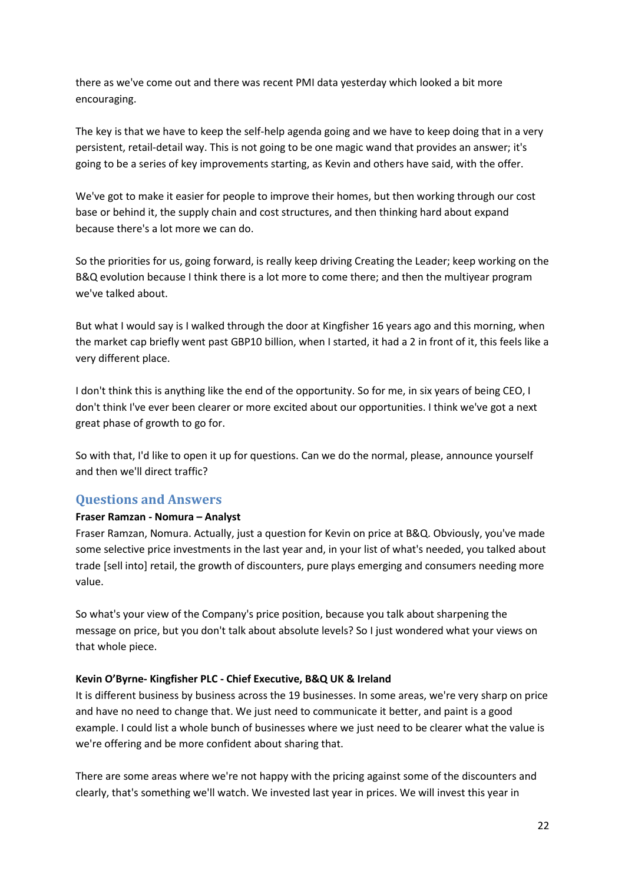there as we've come out and there was recent PMI data yesterday which looked a bit more encouraging.

The key is that we have to keep the self-help agenda going and we have to keep doing that in a very persistent, retail-detail way. This is not going to be one magic wand that provides an answer; it's going to be a series of key improvements starting, as Kevin and others have said, with the offer.

We've got to make it easier for people to improve their homes, but then working through our cost base or behind it, the supply chain and cost structures, and then thinking hard about expand because there's a lot more we can do.

So the priorities for us, going forward, is really keep driving Creating the Leader; keep working on the B&Q evolution because I think there is a lot more to come there; and then the multiyear program we've talked about.

But what I would say is I walked through the door at Kingfisher 16 years ago and this morning, when the market cap briefly went past GBP10 billion, when I started, it had a 2 in front of it, this feels like a very different place.

I don't think this is anything like the end of the opportunity. So for me, in six years of being CEO, I don't think I've ever been clearer or more excited about our opportunities. I think we've got a next great phase of growth to go for.

So with that, I'd like to open it up for questions. Can we do the normal, please, announce yourself and then we'll direct traffic?

# **Questions and Answers**

# **Fraser Ramzan - Nomura – Analyst**

Fraser Ramzan, Nomura. Actually, just a question for Kevin on price at B&Q. Obviously, you've made some selective price investments in the last year and, in your list of what's needed, you talked about trade [sell into] retail, the growth of discounters, pure plays emerging and consumers needing more value.

So what's your view of the Company's price position, because you talk about sharpening the message on price, but you don't talk about absolute levels? So I just wondered what your views on that whole piece.

#### **Kevin O'Byrne- Kingfisher PLC - Chief Executive, B&Q UK & Ireland**

It is different business by business across the 19 businesses. In some areas, we're very sharp on price and have no need to change that. We just need to communicate it better, and paint is a good example. I could list a whole bunch of businesses where we just need to be clearer what the value is we're offering and be more confident about sharing that.

There are some areas where we're not happy with the pricing against some of the discounters and clearly, that's something we'll watch. We invested last year in prices. We will invest this year in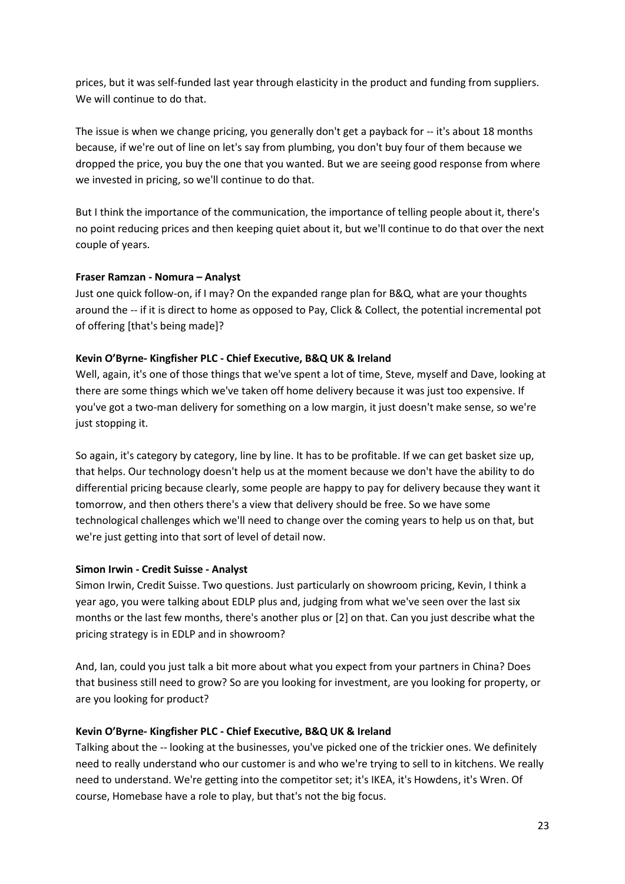prices, but it was self-funded last year through elasticity in the product and funding from suppliers. We will continue to do that.

The issue is when we change pricing, you generally don't get a payback for -- it's about 18 months because, if we're out of line on let's say from plumbing, you don't buy four of them because we dropped the price, you buy the one that you wanted. But we are seeing good response from where we invested in pricing, so we'll continue to do that.

But I think the importance of the communication, the importance of telling people about it, there's no point reducing prices and then keeping quiet about it, but we'll continue to do that over the next couple of years.

# **Fraser Ramzan - Nomura – Analyst**

Just one quick follow-on, if I may? On the expanded range plan for B&Q, what are your thoughts around the -- if it is direct to home as opposed to Pay, Click & Collect, the potential incremental pot of offering [that's being made]?

# **Kevin O'Byrne- Kingfisher PLC - Chief Executive, B&Q UK & Ireland**

Well, again, it's one of those things that we've spent a lot of time, Steve, myself and Dave, looking at there are some things which we've taken off home delivery because it was just too expensive. If you've got a two-man delivery for something on a low margin, it just doesn't make sense, so we're just stopping it.

So again, it's category by category, line by line. It has to be profitable. If we can get basket size up, that helps. Our technology doesn't help us at the moment because we don't have the ability to do differential pricing because clearly, some people are happy to pay for delivery because they want it tomorrow, and then others there's a view that delivery should be free. So we have some technological challenges which we'll need to change over the coming years to help us on that, but we're just getting into that sort of level of detail now.

# **Simon Irwin - Credit Suisse - Analyst**

Simon Irwin, Credit Suisse. Two questions. Just particularly on showroom pricing, Kevin, I think a year ago, you were talking about EDLP plus and, judging from what we've seen over the last six months or the last few months, there's another plus or [2] on that. Can you just describe what the pricing strategy is in EDLP and in showroom?

And, Ian, could you just talk a bit more about what you expect from your partners in China? Does that business still need to grow? So are you looking for investment, are you looking for property, or are you looking for product?

# **Kevin O'Byrne- Kingfisher PLC - Chief Executive, B&Q UK & Ireland**

Talking about the -- looking at the businesses, you've picked one of the trickier ones. We definitely need to really understand who our customer is and who we're trying to sell to in kitchens. We really need to understand. We're getting into the competitor set; it's IKEA, it's Howdens, it's Wren. Of course, Homebase have a role to play, but that's not the big focus.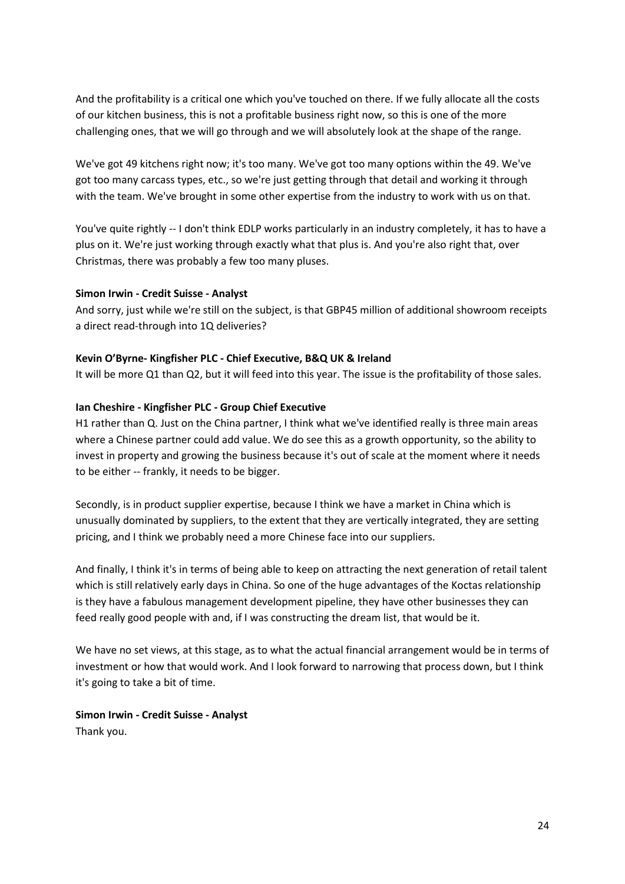And the profitability is a critical one which you've touched on there. If we fully allocate all the costs of our kitchen business, this is not a profitable business right now, so this is one of the more challenging ones, that we will go through and we will absolutely look at the shape of the range.

We've got 49 kitchens right now; it's too many. We've got too many options within the 49. We've got too many carcass types, etc., so we're just getting through that detail and working it through with the team. We've brought in some other expertise from the industry to work with us on that.

You've quite rightly -- I don't think EDLP works particularly in an industry completely, it has to have a plus on it. We're just working through exactly what that plus is. And you're also right that, over Christmas, there was probably a few too many pluses.

## **Simon Irwin - Credit Suisse - Analyst**

And sorry, just while we're still on the subject, is that GBP45 million of additional showroom receipts a direct read-through into 1Q deliveries?

## **Kevin O'Byrne- Kingfisher PLC - Chief Executive, B&Q UK & Ireland**

It will be more Q1 than Q2, but it will feed into this year. The issue is the profitability of those sales.

## **Ian Cheshire - Kingfisher PLC - Group Chief Executive**

H1 rather than Q. Just on the China partner, I think what we've identified really is three main areas where a Chinese partner could add value. We do see this as a growth opportunity, so the ability to invest in property and growing the business because it's out of scale at the moment where it needs to be either -- frankly, it needs to be bigger.

Secondly, is in product supplier expertise, because I think we have a market in China which is unusually dominated by suppliers, to the extent that they are vertically integrated, they are setting pricing, and I think we probably need a more Chinese face into our suppliers.

And finally, I think it's in terms of being able to keep on attracting the next generation of retail talent which is still relatively early days in China. So one of the huge advantages of the Koctas relationship is they have a fabulous management development pipeline, they have other businesses they can feed really good people with and, if I was constructing the dream list, that would be it.

We have no set views, at this stage, as to what the actual financial arrangement would be in terms of investment or how that would work. And I look forward to narrowing that process down, but I think it's going to take a bit of time.

**Simon Irwin - Credit Suisse - Analyst** Thank you.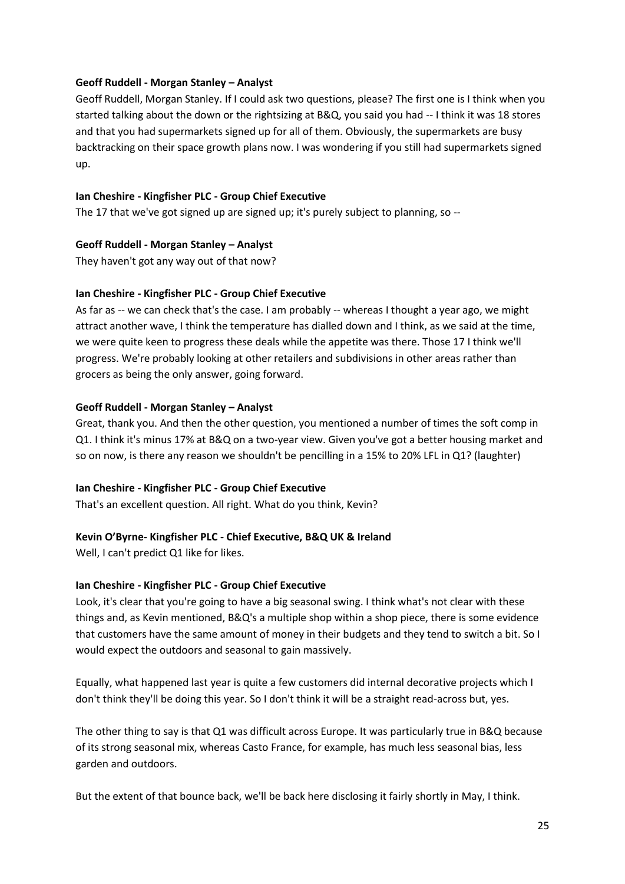## **Geoff Ruddell - Morgan Stanley – Analyst**

Geoff Ruddell, Morgan Stanley. If I could ask two questions, please? The first one is I think when you started talking about the down or the rightsizing at B&Q, you said you had -- I think it was 18 stores and that you had supermarkets signed up for all of them. Obviously, the supermarkets are busy backtracking on their space growth plans now. I was wondering if you still had supermarkets signed up.

## **Ian Cheshire - Kingfisher PLC - Group Chief Executive**

The 17 that we've got signed up are signed up; it's purely subject to planning, so --

## **Geoff Ruddell - Morgan Stanley – Analyst**

They haven't got any way out of that now?

## **Ian Cheshire - Kingfisher PLC - Group Chief Executive**

As far as -- we can check that's the case. I am probably -- whereas I thought a year ago, we might attract another wave, I think the temperature has dialled down and I think, as we said at the time, we were quite keen to progress these deals while the appetite was there. Those 17 I think we'll progress. We're probably looking at other retailers and subdivisions in other areas rather than grocers as being the only answer, going forward.

## **Geoff Ruddell - Morgan Stanley – Analyst**

Great, thank you. And then the other question, you mentioned a number of times the soft comp in Q1. I think it's minus 17% at B&Q on a two-year view. Given you've got a better housing market and so on now, is there any reason we shouldn't be pencilling in a 15% to 20% LFL in Q1? (laughter)

#### **Ian Cheshire - Kingfisher PLC - Group Chief Executive**

That's an excellent question. All right. What do you think, Kevin?

# **Kevin O'Byrne- Kingfisher PLC - Chief Executive, B&Q UK & Ireland**

Well, I can't predict Q1 like for likes.

# **Ian Cheshire - Kingfisher PLC - Group Chief Executive**

Look, it's clear that you're going to have a big seasonal swing. I think what's not clear with these things and, as Kevin mentioned, B&Q's a multiple shop within a shop piece, there is some evidence that customers have the same amount of money in their budgets and they tend to switch a bit. So I would expect the outdoors and seasonal to gain massively.

Equally, what happened last year is quite a few customers did internal decorative projects which I don't think they'll be doing this year. So I don't think it will be a straight read-across but, yes.

The other thing to say is that Q1 was difficult across Europe. It was particularly true in B&Q because of its strong seasonal mix, whereas Casto France, for example, has much less seasonal bias, less garden and outdoors.

But the extent of that bounce back, we'll be back here disclosing it fairly shortly in May, I think.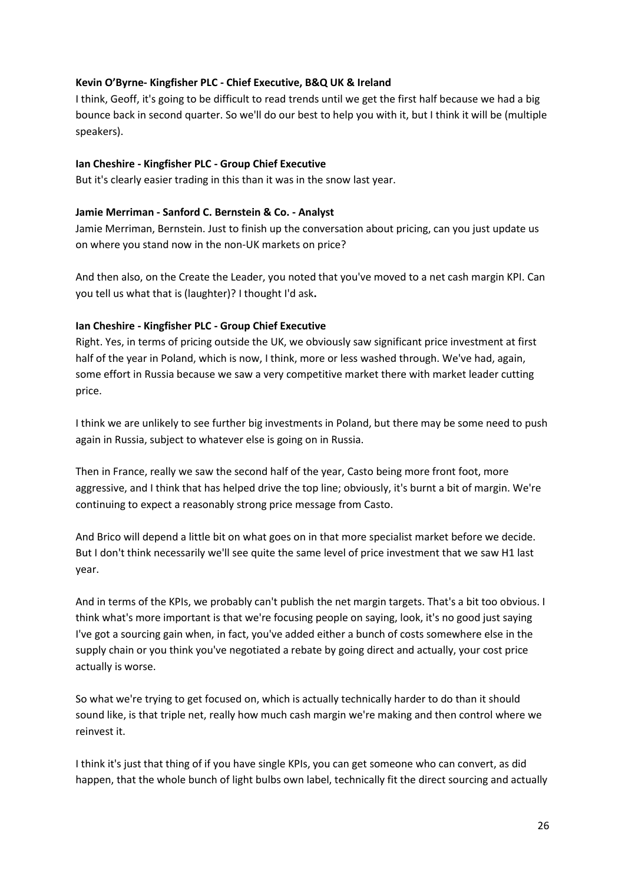## **Kevin O'Byrne- Kingfisher PLC - Chief Executive, B&Q UK & Ireland**

I think, Geoff, it's going to be difficult to read trends until we get the first half because we had a big bounce back in second quarter. So we'll do our best to help you with it, but I think it will be (multiple speakers).

#### **Ian Cheshire - Kingfisher PLC - Group Chief Executive**

But it's clearly easier trading in this than it was in the snow last year.

#### **Jamie Merriman - Sanford C. Bernstein & Co. - Analyst**

Jamie Merriman, Bernstein. Just to finish up the conversation about pricing, can you just update us on where you stand now in the non-UK markets on price?

And then also, on the Create the Leader, you noted that you've moved to a net cash margin KPI. Can you tell us what that is (laughter)? I thought I'd ask**.**

## **Ian Cheshire - Kingfisher PLC - Group Chief Executive**

Right. Yes, in terms of pricing outside the UK, we obviously saw significant price investment at first half of the year in Poland, which is now, I think, more or less washed through. We've had, again, some effort in Russia because we saw a very competitive market there with market leader cutting price.

I think we are unlikely to see further big investments in Poland, but there may be some need to push again in Russia, subject to whatever else is going on in Russia.

Then in France, really we saw the second half of the year, Casto being more front foot, more aggressive, and I think that has helped drive the top line; obviously, it's burnt a bit of margin. We're continuing to expect a reasonably strong price message from Casto.

And Brico will depend a little bit on what goes on in that more specialist market before we decide. But I don't think necessarily we'll see quite the same level of price investment that we saw H1 last year.

And in terms of the KPIs, we probably can't publish the net margin targets. That's a bit too obvious. I think what's more important is that we're focusing people on saying, look, it's no good just saying I've got a sourcing gain when, in fact, you've added either a bunch of costs somewhere else in the supply chain or you think you've negotiated a rebate by going direct and actually, your cost price actually is worse.

So what we're trying to get focused on, which is actually technically harder to do than it should sound like, is that triple net, really how much cash margin we're making and then control where we reinvest it.

I think it's just that thing of if you have single KPIs, you can get someone who can convert, as did happen, that the whole bunch of light bulbs own label, technically fit the direct sourcing and actually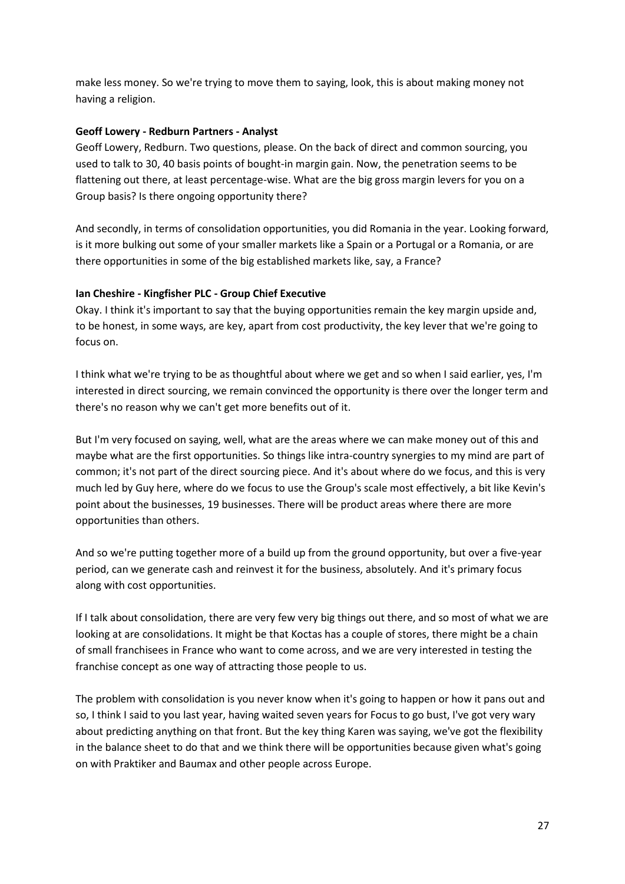make less money. So we're trying to move them to saying, look, this is about making money not having a religion.

#### **Geoff Lowery - Redburn Partners - Analyst**

Geoff Lowery, Redburn. Two questions, please. On the back of direct and common sourcing, you used to talk to 30, 40 basis points of bought-in margin gain. Now, the penetration seems to be flattening out there, at least percentage-wise. What are the big gross margin levers for you on a Group basis? Is there ongoing opportunity there?

And secondly, in terms of consolidation opportunities, you did Romania in the year. Looking forward, is it more bulking out some of your smaller markets like a Spain or a Portugal or a Romania, or are there opportunities in some of the big established markets like, say, a France?

# **Ian Cheshire - Kingfisher PLC - Group Chief Executive**

Okay. I think it's important to say that the buying opportunities remain the key margin upside and, to be honest, in some ways, are key, apart from cost productivity, the key lever that we're going to focus on.

I think what we're trying to be as thoughtful about where we get and so when I said earlier, yes, I'm interested in direct sourcing, we remain convinced the opportunity is there over the longer term and there's no reason why we can't get more benefits out of it.

But I'm very focused on saying, well, what are the areas where we can make money out of this and maybe what are the first opportunities. So things like intra-country synergies to my mind are part of common; it's not part of the direct sourcing piece. And it's about where do we focus, and this is very much led by Guy here, where do we focus to use the Group's scale most effectively, a bit like Kevin's point about the businesses, 19 businesses. There will be product areas where there are more opportunities than others.

And so we're putting together more of a build up from the ground opportunity, but over a five-year period, can we generate cash and reinvest it for the business, absolutely. And it's primary focus along with cost opportunities.

If I talk about consolidation, there are very few very big things out there, and so most of what we are looking at are consolidations. It might be that Koctas has a couple of stores, there might be a chain of small franchisees in France who want to come across, and we are very interested in testing the franchise concept as one way of attracting those people to us.

The problem with consolidation is you never know when it's going to happen or how it pans out and so, I think I said to you last year, having waited seven years for Focus to go bust, I've got very wary about predicting anything on that front. But the key thing Karen was saying, we've got the flexibility in the balance sheet to do that and we think there will be opportunities because given what's going on with Praktiker and Baumax and other people across Europe.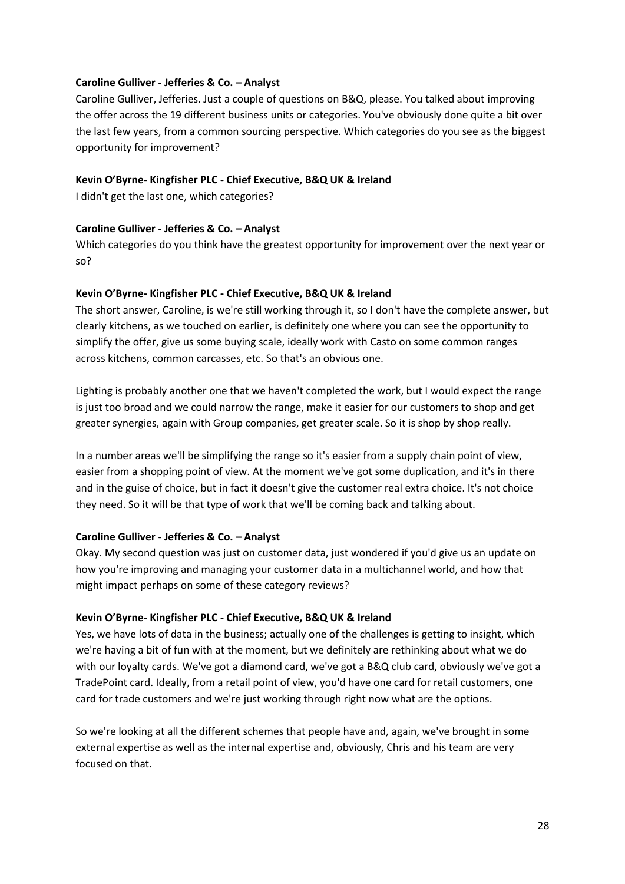#### **Caroline Gulliver - Jefferies & Co. – Analyst**

Caroline Gulliver, Jefferies. Just a couple of questions on B&Q, please. You talked about improving the offer across the 19 different business units or categories. You've obviously done quite a bit over the last few years, from a common sourcing perspective. Which categories do you see as the biggest opportunity for improvement?

## **Kevin O'Byrne- Kingfisher PLC - Chief Executive, B&Q UK & Ireland**

I didn't get the last one, which categories?

## **Caroline Gulliver - Jefferies & Co. – Analyst**

Which categories do you think have the greatest opportunity for improvement over the next year or so?

## **Kevin O'Byrne- Kingfisher PLC - Chief Executive, B&Q UK & Ireland**

The short answer, Caroline, is we're still working through it, so I don't have the complete answer, but clearly kitchens, as we touched on earlier, is definitely one where you can see the opportunity to simplify the offer, give us some buying scale, ideally work with Casto on some common ranges across kitchens, common carcasses, etc. So that's an obvious one.

Lighting is probably another one that we haven't completed the work, but I would expect the range is just too broad and we could narrow the range, make it easier for our customers to shop and get greater synergies, again with Group companies, get greater scale. So it is shop by shop really.

In a number areas we'll be simplifying the range so it's easier from a supply chain point of view, easier from a shopping point of view. At the moment we've got some duplication, and it's in there and in the guise of choice, but in fact it doesn't give the customer real extra choice. It's not choice they need. So it will be that type of work that we'll be coming back and talking about.

# **Caroline Gulliver - Jefferies & Co. – Analyst**

Okay. My second question was just on customer data, just wondered if you'd give us an update on how you're improving and managing your customer data in a multichannel world, and how that might impact perhaps on some of these category reviews?

#### **Kevin O'Byrne- Kingfisher PLC - Chief Executive, B&Q UK & Ireland**

Yes, we have lots of data in the business; actually one of the challenges is getting to insight, which we're having a bit of fun with at the moment, but we definitely are rethinking about what we do with our loyalty cards. We've got a diamond card, we've got a B&Q club card, obviously we've got a TradePoint card. Ideally, from a retail point of view, you'd have one card for retail customers, one card for trade customers and we're just working through right now what are the options.

So we're looking at all the different schemes that people have and, again, we've brought in some external expertise as well as the internal expertise and, obviously, Chris and his team are very focused on that.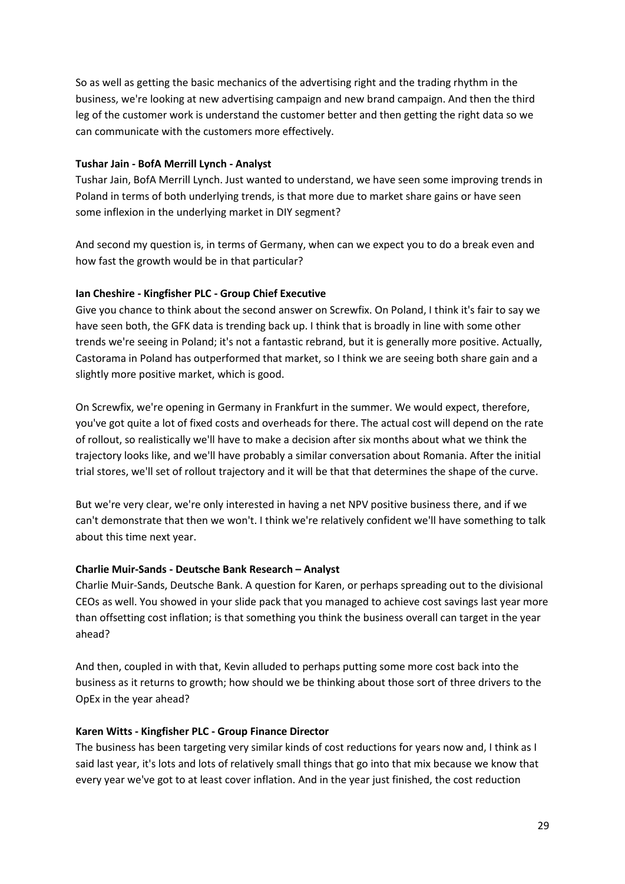So as well as getting the basic mechanics of the advertising right and the trading rhythm in the business, we're looking at new advertising campaign and new brand campaign. And then the third leg of the customer work is understand the customer better and then getting the right data so we can communicate with the customers more effectively.

## **Tushar Jain - BofA Merrill Lynch - Analyst**

Tushar Jain, BofA Merrill Lynch. Just wanted to understand, we have seen some improving trends in Poland in terms of both underlying trends, is that more due to market share gains or have seen some inflexion in the underlying market in DIY segment?

And second my question is, in terms of Germany, when can we expect you to do a break even and how fast the growth would be in that particular?

## **Ian Cheshire - Kingfisher PLC - Group Chief Executive**

Give you chance to think about the second answer on Screwfix. On Poland, I think it's fair to say we have seen both, the GFK data is trending back up. I think that is broadly in line with some other trends we're seeing in Poland; it's not a fantastic rebrand, but it is generally more positive. Actually, Castorama in Poland has outperformed that market, so I think we are seeing both share gain and a slightly more positive market, which is good.

On Screwfix, we're opening in Germany in Frankfurt in the summer. We would expect, therefore, you've got quite a lot of fixed costs and overheads for there. The actual cost will depend on the rate of rollout, so realistically we'll have to make a decision after six months about what we think the trajectory looks like, and we'll have probably a similar conversation about Romania. After the initial trial stores, we'll set of rollout trajectory and it will be that that determines the shape of the curve.

But we're very clear, we're only interested in having a net NPV positive business there, and if we can't demonstrate that then we won't. I think we're relatively confident we'll have something to talk about this time next year.

#### **Charlie Muir-Sands - Deutsche Bank Research – Analyst**

Charlie Muir-Sands, Deutsche Bank. A question for Karen, or perhaps spreading out to the divisional CEOs as well. You showed in your slide pack that you managed to achieve cost savings last year more than offsetting cost inflation; is that something you think the business overall can target in the year ahead?

And then, coupled in with that, Kevin alluded to perhaps putting some more cost back into the business as it returns to growth; how should we be thinking about those sort of three drivers to the OpEx in the year ahead?

#### **Karen Witts - Kingfisher PLC - Group Finance Director**

The business has been targeting very similar kinds of cost reductions for years now and, I think as I said last year, it's lots and lots of relatively small things that go into that mix because we know that every year we've got to at least cover inflation. And in the year just finished, the cost reduction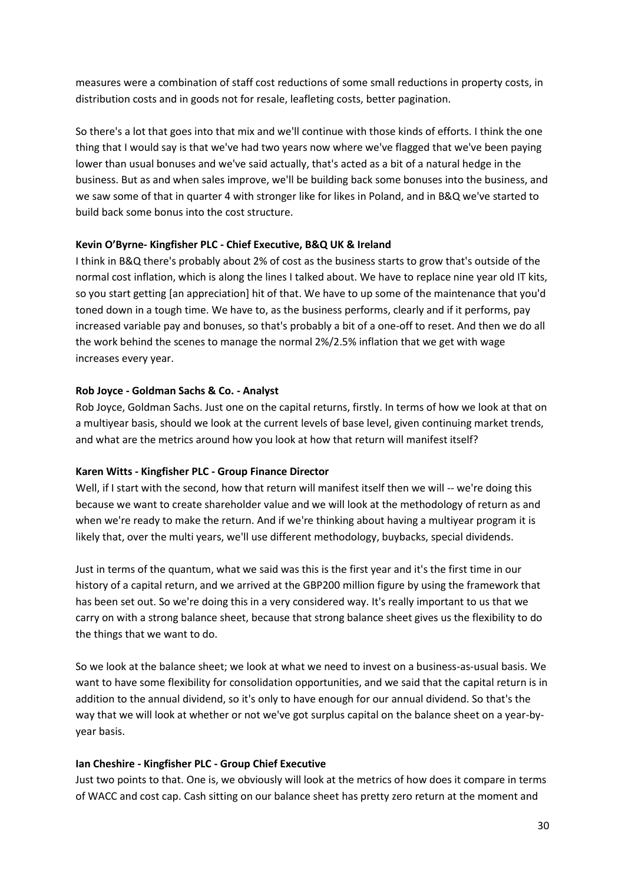measures were a combination of staff cost reductions of some small reductions in property costs, in distribution costs and in goods not for resale, leafleting costs, better pagination.

So there's a lot that goes into that mix and we'll continue with those kinds of efforts. I think the one thing that I would say is that we've had two years now where we've flagged that we've been paying lower than usual bonuses and we've said actually, that's acted as a bit of a natural hedge in the business. But as and when sales improve, we'll be building back some bonuses into the business, and we saw some of that in quarter 4 with stronger like for likes in Poland, and in B&Q we've started to build back some bonus into the cost structure.

#### **Kevin O'Byrne- Kingfisher PLC - Chief Executive, B&Q UK & Ireland**

I think in B&Q there's probably about 2% of cost as the business starts to grow that's outside of the normal cost inflation, which is along the lines I talked about. We have to replace nine year old IT kits, so you start getting [an appreciation] hit of that. We have to up some of the maintenance that you'd toned down in a tough time. We have to, as the business performs, clearly and if it performs, pay increased variable pay and bonuses, so that's probably a bit of a one-off to reset. And then we do all the work behind the scenes to manage the normal 2%/2.5% inflation that we get with wage increases every year.

#### **Rob Joyce - Goldman Sachs & Co. - Analyst**

Rob Joyce, Goldman Sachs. Just one on the capital returns, firstly. In terms of how we look at that on a multiyear basis, should we look at the current levels of base level, given continuing market trends, and what are the metrics around how you look at how that return will manifest itself?

#### **Karen Witts - Kingfisher PLC - Group Finance Director**

Well, if I start with the second, how that return will manifest itself then we will -- we're doing this because we want to create shareholder value and we will look at the methodology of return as and when we're ready to make the return. And if we're thinking about having a multiyear program it is likely that, over the multi years, we'll use different methodology, buybacks, special dividends.

Just in terms of the quantum, what we said was this is the first year and it's the first time in our history of a capital return, and we arrived at the GBP200 million figure by using the framework that has been set out. So we're doing this in a very considered way. It's really important to us that we carry on with a strong balance sheet, because that strong balance sheet gives us the flexibility to do the things that we want to do.

So we look at the balance sheet; we look at what we need to invest on a business-as-usual basis. We want to have some flexibility for consolidation opportunities, and we said that the capital return is in addition to the annual dividend, so it's only to have enough for our annual dividend. So that's the way that we will look at whether or not we've got surplus capital on the balance sheet on a year-byyear basis.

#### **Ian Cheshire - Kingfisher PLC - Group Chief Executive**

Just two points to that. One is, we obviously will look at the metrics of how does it compare in terms of WACC and cost cap. Cash sitting on our balance sheet has pretty zero return at the moment and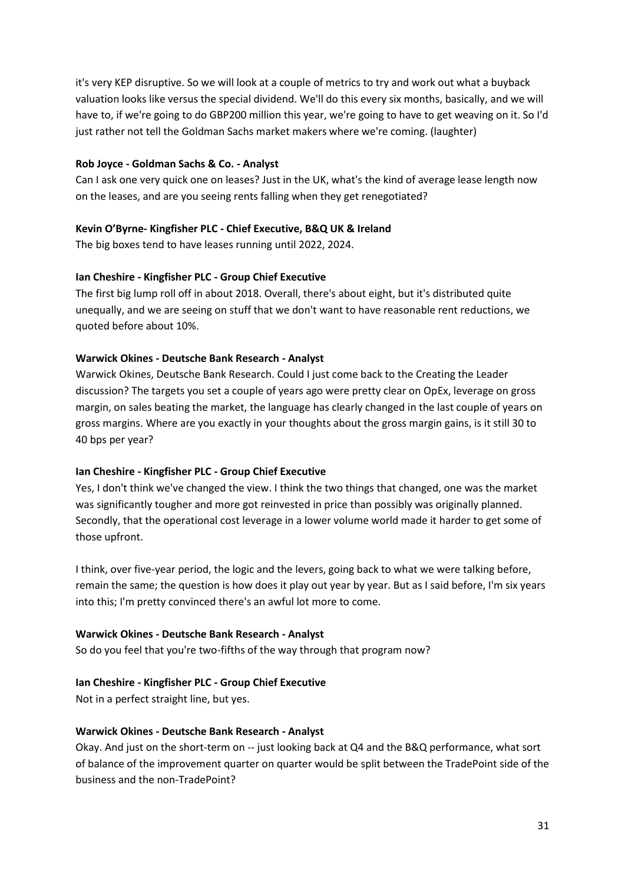it's very KEP disruptive. So we will look at a couple of metrics to try and work out what a buyback valuation looks like versus the special dividend. We'll do this every six months, basically, and we will have to, if we're going to do GBP200 million this year, we're going to have to get weaving on it. So I'd just rather not tell the Goldman Sachs market makers where we're coming. (laughter)

## **Rob Joyce - Goldman Sachs & Co. - Analyst**

Can I ask one very quick one on leases? Just in the UK, what's the kind of average lease length now on the leases, and are you seeing rents falling when they get renegotiated?

# **Kevin O'Byrne- Kingfisher PLC - Chief Executive, B&Q UK & Ireland**

The big boxes tend to have leases running until 2022, 2024.

## **Ian Cheshire - Kingfisher PLC - Group Chief Executive**

The first big lump roll off in about 2018. Overall, there's about eight, but it's distributed quite unequally, and we are seeing on stuff that we don't want to have reasonable rent reductions, we quoted before about 10%.

## **Warwick Okines - Deutsche Bank Research - Analyst**

Warwick Okines, Deutsche Bank Research. Could I just come back to the Creating the Leader discussion? The targets you set a couple of years ago were pretty clear on OpEx, leverage on gross margin, on sales beating the market, the language has clearly changed in the last couple of years on gross margins. Where are you exactly in your thoughts about the gross margin gains, is it still 30 to 40 bps per year?

#### **Ian Cheshire - Kingfisher PLC - Group Chief Executive**

Yes, I don't think we've changed the view. I think the two things that changed, one was the market was significantly tougher and more got reinvested in price than possibly was originally planned. Secondly, that the operational cost leverage in a lower volume world made it harder to get some of those upfront.

I think, over five-year period, the logic and the levers, going back to what we were talking before, remain the same; the question is how does it play out year by year. But as I said before, I'm six years into this; I'm pretty convinced there's an awful lot more to come.

#### **Warwick Okines - Deutsche Bank Research - Analyst**

So do you feel that you're two-fifths of the way through that program now?

# **Ian Cheshire - Kingfisher PLC - Group Chief Executive**

Not in a perfect straight line, but yes.

#### **Warwick Okines - Deutsche Bank Research - Analyst**

Okay. And just on the short-term on -- just looking back at Q4 and the B&Q performance, what sort of balance of the improvement quarter on quarter would be split between the TradePoint side of the business and the non-TradePoint?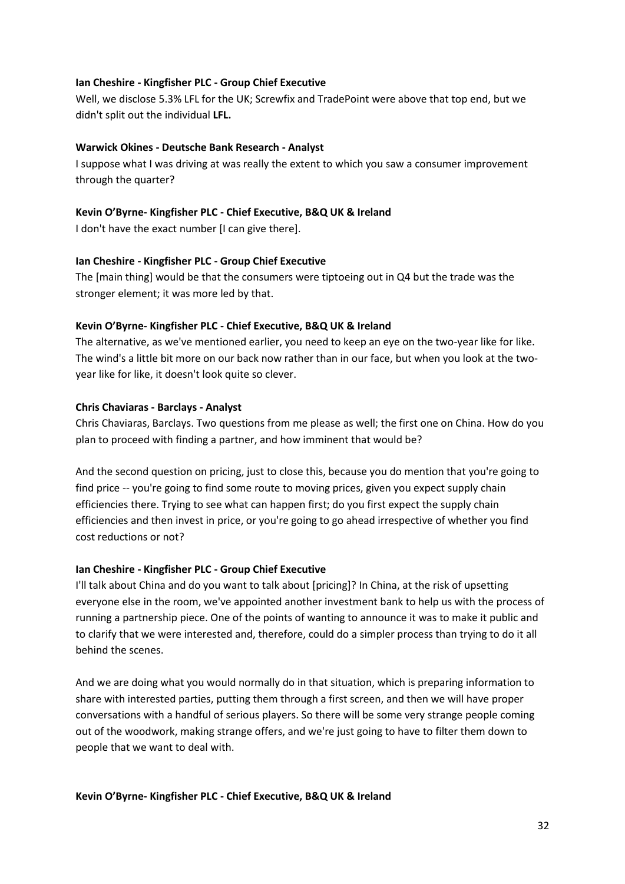## **Ian Cheshire - Kingfisher PLC - Group Chief Executive**

Well, we disclose 5.3% LFL for the UK; Screwfix and TradePoint were above that top end, but we didn't split out the individual **LFL.**

#### **Warwick Okines - Deutsche Bank Research - Analyst**

I suppose what I was driving at was really the extent to which you saw a consumer improvement through the quarter?

## **Kevin O'Byrne- Kingfisher PLC - Chief Executive, B&Q UK & Ireland**

I don't have the exact number [I can give there].

#### **Ian Cheshire - Kingfisher PLC - Group Chief Executive**

The [main thing] would be that the consumers were tiptoeing out in Q4 but the trade was the stronger element; it was more led by that.

## **Kevin O'Byrne- Kingfisher PLC - Chief Executive, B&Q UK & Ireland**

The alternative, as we've mentioned earlier, you need to keep an eye on the two-year like for like. The wind's a little bit more on our back now rather than in our face, but when you look at the twoyear like for like, it doesn't look quite so clever.

## **Chris Chaviaras - Barclays - Analyst**

Chris Chaviaras, Barclays. Two questions from me please as well; the first one on China. How do you plan to proceed with finding a partner, and how imminent that would be?

And the second question on pricing, just to close this, because you do mention that you're going to find price -- you're going to find some route to moving prices, given you expect supply chain efficiencies there. Trying to see what can happen first; do you first expect the supply chain efficiencies and then invest in price, or you're going to go ahead irrespective of whether you find cost reductions or not?

#### **Ian Cheshire - Kingfisher PLC - Group Chief Executive**

I'll talk about China and do you want to talk about [pricing]? In China, at the risk of upsetting everyone else in the room, we've appointed another investment bank to help us with the process of running a partnership piece. One of the points of wanting to announce it was to make it public and to clarify that we were interested and, therefore, could do a simpler process than trying to do it all behind the scenes.

And we are doing what you would normally do in that situation, which is preparing information to share with interested parties, putting them through a first screen, and then we will have proper conversations with a handful of serious players. So there will be some very strange people coming out of the woodwork, making strange offers, and we're just going to have to filter them down to people that we want to deal with.

#### **Kevin O'Byrne- Kingfisher PLC - Chief Executive, B&Q UK & Ireland**